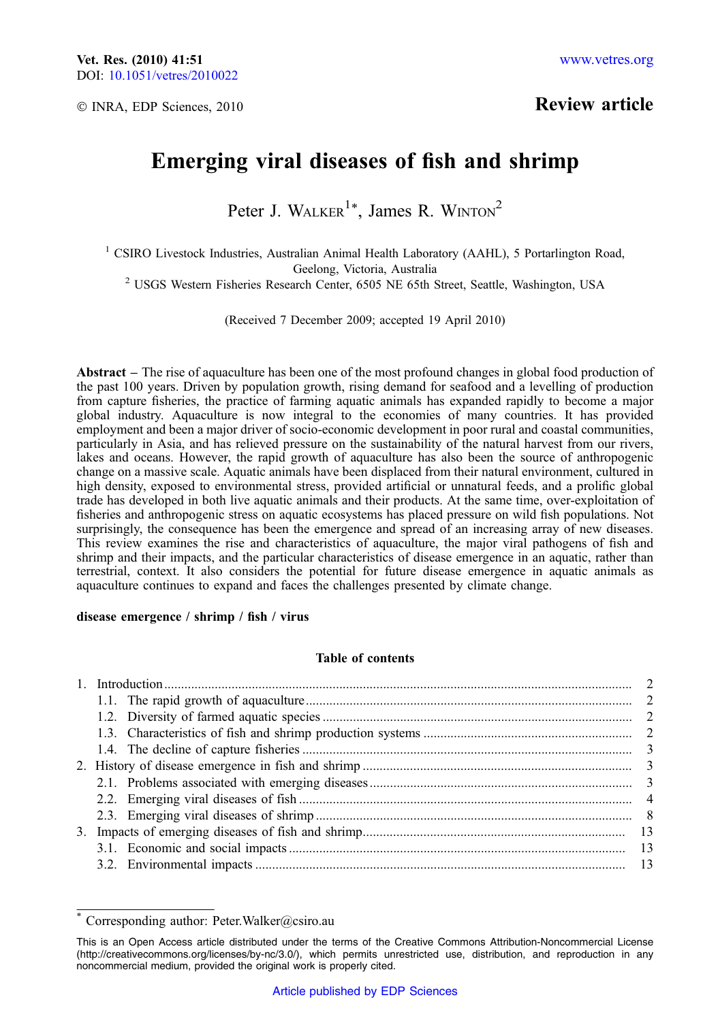© INRA, EDP Sciences, 2010

## Review article

# Emerging viral diseases of fish and shrimp

Peter J. WALKER<sup>1\*</sup>, James R. WINTON<sup>2</sup>

<sup>1</sup> CSIRO Livestock Industries, Australian Animal Health Laboratory (AAHL), 5 Portarlington Road, Geelong, Victoria, Australia <sup>2</sup> USGS Western Fisheries Research Center, 6505 NE 65th Street, Seattle, Washington, USA

(Received 7 December 2009; accepted 19 April 2010)

Abstract – The rise of aquaculture has been one of the most profound changes in global food production of the past 100 years. Driven by population growth, rising demand for seafood and a levelling of production from capture fisheries, the practice of farming aquatic animals has expanded rapidly to become a major global industry. Aquaculture is now integral to the economies of many countries. It has provided employment and been a major driver of socio-economic development in poor rural and coastal communities, particularly in Asia, and has relieved pressure on the sustainability of the natural harvest from our rivers, lakes and oceans. However, the rapid growth of aquaculture has also been the source of anthropogenic change on a massive scale. Aquatic animals have been displaced from their natural environment, cultured in high density, exposed to environmental stress, provided artificial or unnatural feeds, and a prolific global trade has developed in both live aquatic animals and their products. At the same time, over-exploitation of fisheries and anthropogenic stress on aquatic ecosystems has placed pressure on wild fish populations. Not surprisingly, the consequence has been the emergence and spread of an increasing array of new diseases. This review examines the rise and characteristics of aquaculture, the major viral pathogens of fish and shrimp and their impacts, and the particular characteristics of disease emergence in an aquatic, rather than terrestrial, context. It also considers the potential for future disease emergence in aquatic animals as aquaculture continues to expand and faces the challenges presented by climate change.

#### disease emergence / shrimp / fish / virus

## Table of contents

Corresponding author: Peter.Walker@csiro.au

This is an Open Access article distributed under the terms of the Creative Commons Attribution-Noncommercial License (http://creativecommons.org/licenses/by-nc/3.0/), which permits unrestricted use, distribution, and reproduction in any noncommercial medium, provided the original work is properly cited.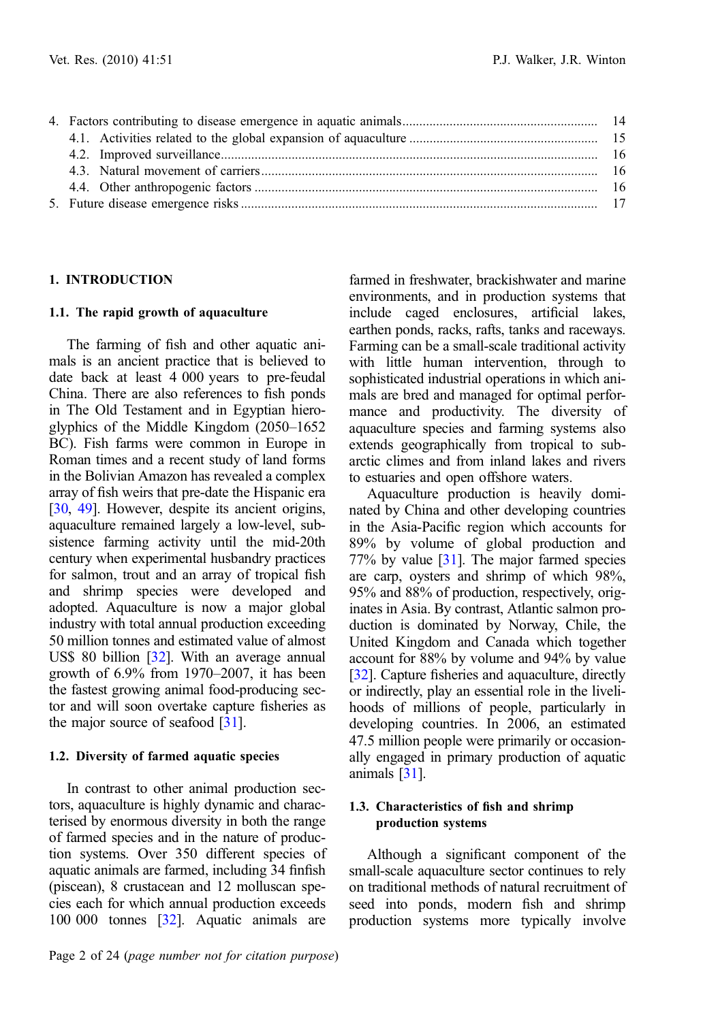## 1. INTRODUCTION

#### 1.1. The rapid growth of aquaculture

The farming of fish and other aquatic animals is an ancient practice that is believed to date back at least 4 000 years to pre-feudal China. There are also references to fish ponds in The Old Testament and in Egyptian hieroglyphics of the Middle Kingdom (2050–1652 BC). Fish farms were common in Europe in Roman times and a recent study of land forms in the Bolivian Amazon has revealed a complex array of fish weirs that pre-date the Hispanic era [[30](#page-17-0), [49\]](#page-18-0). However, despite its ancient origins, aquaculture remained largely a low-level, subsistence farming activity until the mid-20th century when experimental husbandry practices for salmon, trout and an array of tropical fish and shrimp species were developed and adopted. Aquaculture is now a major global industry with total annual production exceeding 50 million tonnes and estimated value of almost US\$ 80 billion [[32](#page-18-0)]. With an average annual growth of 6.9% from 1970–2007, it has been the fastest growing animal food-producing sector and will soon overtake capture fisheries as the major source of seafood [[31\]](#page-18-0).

#### 1.2. Diversity of farmed aquatic species

In contrast to other animal production sectors, aquaculture is highly dynamic and characterised by enormous diversity in both the range of farmed species and in the nature of production systems. Over 350 different species of aquatic animals are farmed, including 34 finfish (piscean), 8 crustacean and 12 molluscan species each for which annual production exceeds 100 000 tonnes [\[32\]](#page-18-0). Aquatic animals are

farmed in freshwater, brackishwater and marine environments, and in production systems that include caged enclosures, artificial lakes, earthen ponds, racks, rafts, tanks and raceways. Farming can be a small-scale traditional activity with little human intervention, through to sophisticated industrial operations in which animals are bred and managed for optimal performance and productivity. The diversity of aquaculture species and farming systems also extends geographically from tropical to subarctic climes and from inland lakes and rivers to estuaries and open offshore waters.

Aquaculture production is heavily dominated by China and other developing countries in the Asia-Pacific region which accounts for 89% by volume of global production and 77% by value [[31\]](#page-18-0). The major farmed species are carp, oysters and shrimp of which 98%, 95% and 88% of production, respectively, originates in Asia. By contrast, Atlantic salmon production is dominated by Norway, Chile, the United Kingdom and Canada which together account for 88% by volume and 94% by value [[32](#page-18-0)]. Capture fisheries and aquaculture, directly or indirectly, play an essential role in the livelihoods of millions of people, particularly in developing countries. In 2006, an estimated 47.5 million people were primarily or occasionally engaged in primary production of aquatic animals [\[31](#page-18-0)].

## 1.3. Characteristics of fish and shrimp production systems

Although a significant component of the small-scale aquaculture sector continues to rely on traditional methods of natural recruitment of seed into ponds, modern fish and shrimp production systems more typically involve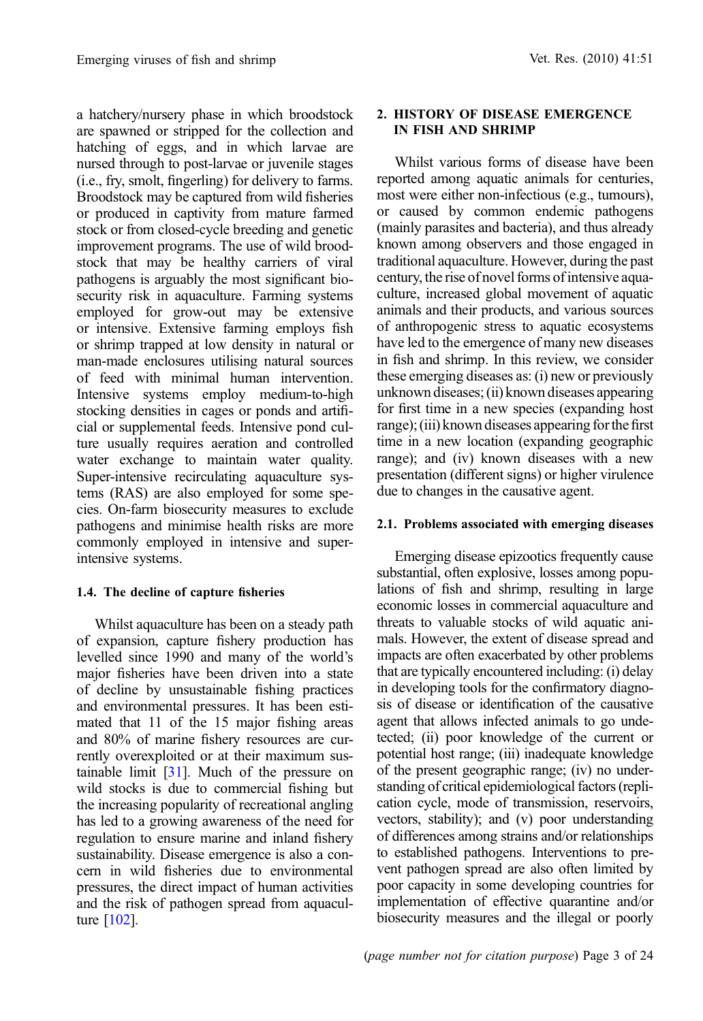a hatchery/nursery phase in which broodstock are spawned or stripped for the collection and hatching of eggs, and in which larvae are nursed through to post-larvae or juvenile stages (i.e., fry, smolt, fingerling) for delivery to farms. Broodstock may be captured from wild fisheries or produced in captivity from mature farmed stock or from closed-cycle breeding and genetic improvement programs. The use of wild broodstock that may be healthy carriers of viral pathogens is arguably the most significant biosecurity risk in aquaculture. Farming systems employed for grow-out may be extensive or intensive. Extensive farming employs fish or shrimp trapped at low density in natural or man-made enclosures utilising natural sources of feed with minimal human intervention. Intensive systems employ medium-to-high stocking densities in cages or ponds and artificial or supplemental feeds. Intensive pond culture usually requires aeration and controlled water exchange to maintain water quality. Super-intensive recirculating aquaculture systems (RAS) are also employed for some species. On-farm biosecurity measures to exclude pathogens and minimise health risks are more commonly employed in intensive and superintensive systems.

## 1.4. The decline of capture fisheries

Whilst aquaculture has been on a steady path of expansion, capture fishery production has levelled since 1990 and many of the world's major fisheries have been driven into a state of decline by unsustainable fishing practices and environmental pressures. It has been estimated that 11 of the 15 major fishing areas and 80% of marine fishery resources are currently overexploited or at their maximum sustainable limit [[31](#page-18-0)]. Much of the pressure on wild stocks is due to commercial fishing but the increasing popularity of recreational angling has led to a growing awareness of the need for regulation to ensure marine and inland fishery sustainability. Disease emergence is also a concern in wild fisheries due to environmental pressures, the direct impact of human activities and the risk of pathogen spread from aquaculture [\[102\]](#page-21-0).

## 2. HISTORY OF DISEASE EMERGENCE IN FISH AND SHRIMP

Whilst various forms of disease have been reported among aquatic animals for centuries, most were either non-infectious (e.g., tumours), or caused by common endemic pathogens (mainly parasites and bacteria), and thus already known among observers and those engaged in traditional aquaculture. However, during the past century, the rise of novel forms of intensive aquaculture, increased global movement of aquatic animals and their products, and various sources of anthropogenic stress to aquatic ecosystems have led to the emergence of many new diseases in fish and shrimp. In this review, we consider these emerging diseases as: (i) new or previously unknown diseases; (ii) known diseases appearing for first time in a new species (expanding host range); (iii) known diseases appearing forthe first time in a new location (expanding geographic range); and (iv) known diseases with a new presentation (different signs) or higher virulence due to changes in the causative agent.

## 2.1. Problems associated with emerging diseases

Emerging disease epizootics frequently cause substantial, often explosive, losses among populations of fish and shrimp, resulting in large economic losses in commercial aquaculture and threats to valuable stocks of wild aquatic animals. However, the extent of disease spread and impacts are often exacerbated by other problems that are typically encountered including: (i) delay in developing tools for the confirmatory diagnosis of disease or identification of the causative agent that allows infected animals to go undetected; (ii) poor knowledge of the current or potential host range; (iii) inadequate knowledge of the present geographic range; (iv) no understanding of critical epidemiological factors (replication cycle, mode of transmission, reservoirs, vectors, stability); and (v) poor understanding of differences among strains and/or relationships to established pathogens. Interventions to prevent pathogen spread are also often limited by poor capacity in some developing countries for implementation of effective quarantine and/or biosecurity measures and the illegal or poorly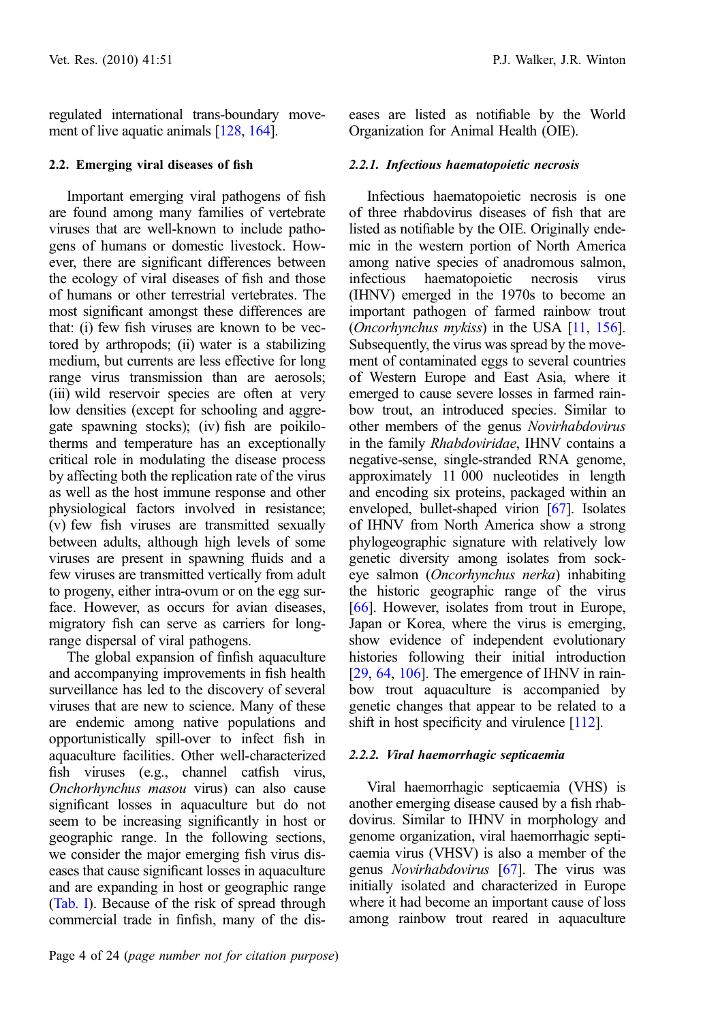regulated international trans-boundary movement of live aquatic animals [\[128,](#page-22-0) [164\]](#page-23-0).

## 2.2. Emerging viral diseases of fish

Important emerging viral pathogens of fish are found among many families of vertebrate viruses that are well-known to include pathogens of humans or domestic livestock. However, there are significant differences between the ecology of viral diseases of fish and those of humans or other terrestrial vertebrates. The most significant amongst these differences are that: (i) few fish viruses are known to be vectored by arthropods; (ii) water is a stabilizing medium, but currents are less effective for long range virus transmission than are aerosols; (iii) wild reservoir species are often at very low densities (except for schooling and aggregate spawning stocks); (iv) fish are poikilotherms and temperature has an exceptionally critical role in modulating the disease process by affecting both the replication rate of the virus as well as the host immune response and other physiological factors involved in resistance; (v) few fish viruses are transmitted sexually between adults, although high levels of some viruses are present in spawning fluids and a few viruses are transmitted vertically from adult to progeny, either intra-ovum or on the egg surface. However, as occurs for avian diseases, migratory fish can serve as carriers for longrange dispersal of viral pathogens.

The global expansion of finfish aquaculture and accompanying improvements in fish health surveillance has led to the discovery of several viruses that are new to science. Many of these are endemic among native populations and opportunistically spill-over to infect fish in aquaculture facilities. Other well-characterized fish viruses (e.g., channel catfish virus, Onchorhynchus masou virus) can also cause significant losses in aquaculture but do not seem to be increasing significantly in host or geographic range. In the following sections, we consider the major emerging fish virus diseases that cause significant losses in aquaculture and are expanding in host or geographic range ([Tab. I\)](#page-4-0). Because of the risk of spread through commercial trade in finfish, many of the diseases are listed as notifiable by the World Organization for Animal Health (OIE).

## 2.2.1. Infectious haematopoietic necrosis

Infectious haematopoietic necrosis is one of three rhabdovirus diseases of fish that are listed as notifiable by the OIE. Originally endemic in the western portion of North America among native species of anadromous salmon, infectious haematopoietic necrosis virus (IHNV) emerged in the 1970s to become an important pathogen of farmed rainbow trout (*Oncorhynchus mykiss*) in the USA [\[11](#page-17-0), [156](#page-23-0)]. Subsequently, the virus was spread by the movement of contaminated eggs to several countries of Western Europe and East Asia, where it emerged to cause severe losses in farmed rainbow trout, an introduced species. Similar to other members of the genus Novirhabdovirus in the family Rhabdoviridae, IHNV contains a negative-sense, single-stranded RNA genome, approximately 11 000 nucleotides in length and encoding six proteins, packaged within an enveloped, bullet-shaped virion [\[67\]](#page-19-0). Isolates of IHNV from North America show a strong phylogeographic signature with relatively low genetic diversity among isolates from sockeye salmon (Oncorhynchus nerka) inhabiting the historic geographic range of the virus [[66](#page-19-0)]. However, isolates from trout in Europe, Japan or Korea, where the virus is emerging, show evidence of independent evolutionary histories following their initial introduction [[29](#page-17-0), [64](#page-19-0), [106](#page-21-0)]. The emergence of IHNV in rainbow trout aquaculture is accompanied by genetic changes that appear to be related to a shift in host specificity and virulence [\[112](#page-21-0)].

## 2.2.2. Viral haemorrhagic septicaemia

Viral haemorrhagic septicaemia (VHS) is another emerging disease caused by a fish rhabdovirus. Similar to IHNV in morphology and genome organization, viral haemorrhagic septicaemia virus (VHSV) is also a member of the genus Novirhabdovirus [[67\]](#page-19-0). The virus was initially isolated and characterized in Europe where it had become an important cause of loss among rainbow trout reared in aquaculture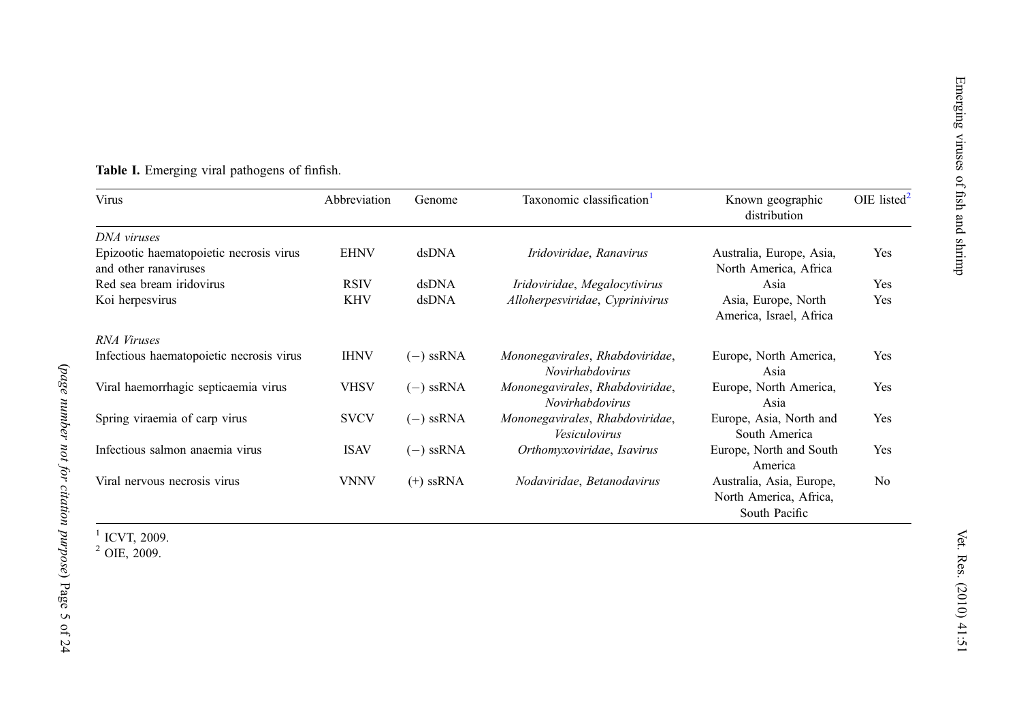| Virus                                                            | Abbreviation         | Genome      | Taxonomic classification                                  | Known geographic<br>distribution                                    | OIE listed $2$ |
|------------------------------------------------------------------|----------------------|-------------|-----------------------------------------------------------|---------------------------------------------------------------------|----------------|
| DNA viruses                                                      |                      |             |                                                           |                                                                     |                |
| Epizootic haematopoietic necrosis virus<br>and other ranaviruses | <b>EHNV</b><br>dsDNA |             | Iridoviridae, Ranavirus                                   | Australia, Europe, Asia,<br>North America, Africa                   | Yes            |
| Red sea bream iridovirus                                         | <b>RSIV</b>          | dsDNA       | Iridoviridae, Megalocytivirus                             | Asia                                                                | Yes            |
| Koi herpesvirus                                                  | <b>KHV</b>           | dsDNA       | Alloherpesviridae, Cyprinivirus                           | Asia, Europe, North<br>America, Israel, Africa                      | Yes            |
| RNA Viruses                                                      |                      |             |                                                           |                                                                     |                |
| Infectious haematopoietic necrosis virus                         | <b>IHNV</b>          | $(-)$ ssRNA | Mononegavirales, Rhabdoviridae,<br><b>Novirhabdovirus</b> | Europe, North America,<br>Asia                                      | Yes            |
| Viral haemorrhagic septicaemia virus                             | <b>VHSV</b>          | $(-)$ ssRNA | Mononegavirales, Rhabdoviridae,<br>Novirhabdovirus        | Europe, North America,<br>Asia                                      | Yes            |
| Spring viraemia of carp virus                                    | <b>SVCV</b>          | $(-)$ ssRNA | Mononegavirales, Rhabdoviridae,<br>Vesiculovirus          | Europe, Asia, North and<br>South America                            | Yes            |
| Infectious salmon anaemia virus                                  | <b>ISAV</b>          | $(-)$ ssRNA | Orthomyxoviridae, Isavirus                                | Europe, North and South<br>America                                  | Yes            |
| Viral nervous necrosis virus                                     | <b>VNNV</b>          | $(+)$ ssRNA | Nodaviridae, Betanodavirus                                | Australia, Asia, Europe,<br>North America, Africa,<br>South Pacific | N <sub>0</sub> |
| $1$ ICVT, 2009.<br>$2$ OIE, 2009.                                |                      |             |                                                           |                                                                     |                |

<span id="page-4-0"></span>Table I. Emerging viral pathogens of finfish.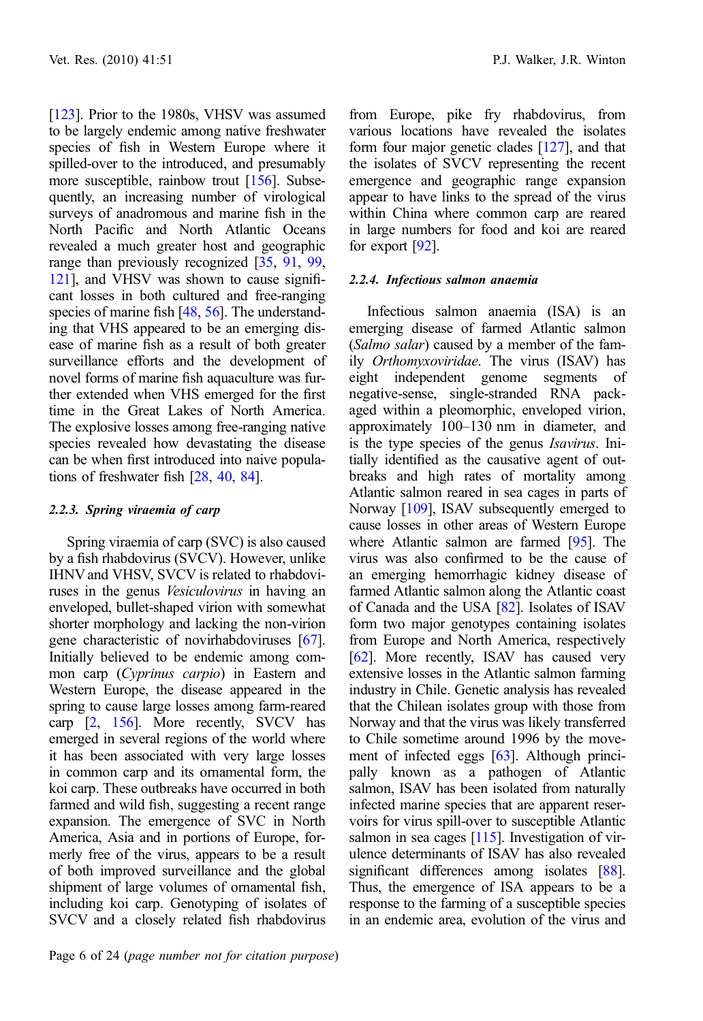[[123](#page-22-0)]. Prior to the 1980s, VHSV was assumed to be largely endemic among native freshwater species of fish in Western Europe where it spilled-over to the introduced, and presumably more susceptible, rainbow trout  $[156]$ . Subsequently, an increasing number of virological surveys of anadromous and marine fish in the North Pacific and North Atlantic Oceans revealed a much greater host and geographic range than previously recognized [\[35,](#page-18-0) [91](#page-20-0), [99](#page-20-0), [121](#page-21-0)], and VHSV was shown to cause significant losses in both cultured and free-ranging species of marine fish [[48](#page-18-0), [56](#page-19-0)]. The understanding that VHS appeared to be an emerging disease of marine fish as a result of both greater surveillance efforts and the development of novel forms of marine fish aquaculture was further extended when VHS emerged for the first time in the Great Lakes of North America. The explosive losses among free-ranging native species revealed how devastating the disease can be when first introduced into naive populations of freshwater fish [\[28,](#page-17-0) [40](#page-18-0), [84\]](#page-20-0).

#### 2.2.3. Spring viraemia of carp

Spring viraemia of carp (SVC) is also caused by a fish rhabdovirus (SVCV). However, unlike IHNV and VHSV, SVCV is related to rhabdoviruses in the genus Vesiculovirus in having an enveloped, bullet-shaped virion with somewhat shorter morphology and lacking the non-virion gene characteristic of novirhabdoviruses [[67](#page-19-0)]. Initially believed to be endemic among common carp (Cyprinus carpio) in Eastern and Western Europe, the disease appeared in the spring to cause large losses among farm-reared carp [[2,](#page-16-0) [156\]](#page-23-0). More recently, SVCV has emerged in several regions of the world where it has been associated with very large losses in common carp and its ornamental form, the koi carp. These outbreaks have occurred in both farmed and wild fish, suggesting a recent range expansion. The emergence of SVC in North America, Asia and in portions of Europe, formerly free of the virus, appears to be a result of both improved surveillance and the global shipment of large volumes of ornamental fish, including koi carp. Genotyping of isolates of SVCV and a closely related fish rhabdovirus from Europe, pike fry rhabdovirus, from various locations have revealed the isolates form four major genetic clades [\[127\]](#page-22-0), and that the isolates of SVCV representing the recent emergence and geographic range expansion appear to have links to the spread of the virus within China where common carp are reared in large numbers for food and koi are reared for export [[92](#page-20-0)].

#### 2.2.4. Infectious salmon anaemia

Infectious salmon anaemia (ISA) is an emerging disease of farmed Atlantic salmon (Salmo salar) caused by a member of the family Orthomyxoviridae. The virus (ISAV) has eight independent genome segments of negative-sense, single-stranded RNA packaged within a pleomorphic, enveloped virion, approximately 100–130 nm in diameter, and is the type species of the genus Isavirus. Initially identified as the causative agent of outbreaks and high rates of mortality among Atlantic salmon reared in sea cages in parts of Norway [\[109\]](#page-21-0), ISAV subsequently emerged to cause losses in other areas of Western Europe where Atlantic salmon are farmed [\[95\]](#page-20-0). The virus was also confirmed to be the cause of an emerging hemorrhagic kidney disease of farmed Atlantic salmon along the Atlantic coast of Canada and the USA [[82](#page-20-0)]. Isolates of ISAV form two major genotypes containing isolates from Europe and North America, respectively [[62](#page-19-0)]. More recently, ISAV has caused very extensive losses in the Atlantic salmon farming industry in Chile. Genetic analysis has revealed that the Chilean isolates group with those from Norway and that the virus was likely transferred to Chile sometime around 1996 by the movement of infected eggs [\[63\]](#page-19-0). Although principally known as a pathogen of Atlantic salmon, ISAV has been isolated from naturally infected marine species that are apparent reservoirs for virus spill-over to susceptible Atlantic salmon in sea cages [\[115\]](#page-21-0). Investigation of virulence determinants of ISAV has also revealed significant differences among isolates [\[88](#page-20-0)]. Thus, the emergence of ISA appears to be a response to the farming of a susceptible species in an endemic area, evolution of the virus and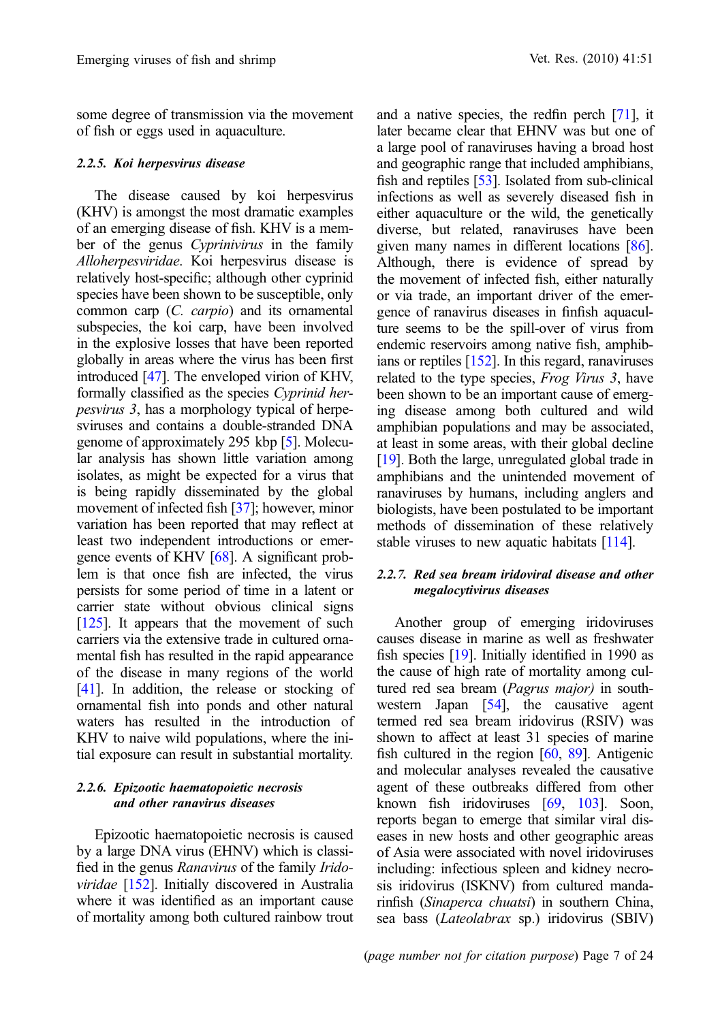some degree of transmission via the movement of fish or eggs used in aquaculture.

#### 2.2.5. Koi herpesvirus disease

The disease caused by koi herpesvirus (KHV) is amongst the most dramatic examples of an emerging disease of fish. KHV is a member of the genus Cyprinivirus in the family Alloherpesviridae. Koi herpesvirus disease is relatively host-specific; although other cyprinid species have been shown to be susceptible, only common carp (C. carpio) and its ornamental subspecies, the koi carp, have been involved in the explosive losses that have been reported globally in areas where the virus has been first introduced [\[47\]](#page-18-0). The enveloped virion of KHV, formally classified as the species Cyprinid herpesvirus 3, has a morphology typical of herpesviruses and contains a double-stranded DNA genome of approximately 295 kbp [\[5\]](#page-16-0). Molecular analysis has shown little variation among isolates, as might be expected for a virus that is being rapidly disseminated by the global movement of infected fish [\[37\]](#page-18-0); however, minor variation has been reported that may reflect at least two independent introductions or emergence events of KHV [[68\]](#page-19-0). A significant problem is that once fish are infected, the virus persists for some period of time in a latent or carrier state without obvious clinical signs [\[125\]](#page-22-0). It appears that the movement of such carriers via the extensive trade in cultured ornamental fish has resulted in the rapid appearance of the disease in many regions of the world [\[41\]](#page-18-0). In addition, the release or stocking of ornamental fish into ponds and other natural waters has resulted in the introduction of KHV to naive wild populations, where the initial exposure can result in substantial mortality.

## 2.2.6. Epizootic haematopoietic necrosis and other ranavirus diseases

Epizootic haematopoietic necrosis is caused by a large DNA virus (EHNV) which is classified in the genus Ranavirus of the family Iridoviridae [\[152\]](#page-23-0). Initially discovered in Australia where it was identified as an important cause of mortality among both cultured rainbow trout

and a native species, the redfin perch [\[71](#page-19-0)], it later became clear that EHNV was but one of a large pool of ranaviruses having a broad host and geographic range that included amphibians, fish and reptiles [\[53\]](#page-19-0). Isolated from sub-clinical infections as well as severely diseased fish in either aquaculture or the wild, the genetically diverse, but related, ranaviruses have been given many names in different locations [[86\]](#page-20-0). Although, there is evidence of spread by the movement of infected fish, either naturally or via trade, an important driver of the emergence of ranavirus diseases in finfish aquaculture seems to be the spill-over of virus from endemic reservoirs among native fish, amphibians or reptiles [[152](#page-23-0)]. In this regard, ranaviruses related to the type species, Frog Virus 3, have been shown to be an important cause of emerging disease among both cultured and wild amphibian populations and may be associated, at least in some areas, with their global decline [\[19\]](#page-17-0). Both the large, unregulated global trade in amphibians and the unintended movement of ranaviruses by humans, including anglers and biologists, have been postulated to be important methods of dissemination of these relatively stable viruses to new aquatic habitats [[114\]](#page-21-0).

## 2.2.7. Red sea bream iridoviral disease and other megalocytivirus diseases

Another group of emerging iridoviruses causes disease in marine as well as freshwater fish species [\[19\]](#page-17-0). Initially identified in 1990 as the cause of high rate of mortality among cultured red sea bream (Pagrus major) in southwestern Japan  $[54]$ , the causative agent termed red sea bream iridovirus (RSIV) was shown to affect at least 31 species of marine fish cultured in the region [\[60,](#page-19-0) [89\]](#page-20-0). Antigenic and molecular analyses revealed the causative agent of these outbreaks differed from other known fish iridoviruses [\[69,](#page-19-0) [103\]](#page-21-0). Soon, reports began to emerge that similar viral diseases in new hosts and other geographic areas of Asia were associated with novel iridoviruses including: infectious spleen and kidney necrosis iridovirus (ISKNV) from cultured mandarinfish (Sinaperca chuatsi) in southern China, sea bass (Lateolabrax sp.) iridovirus (SBIV)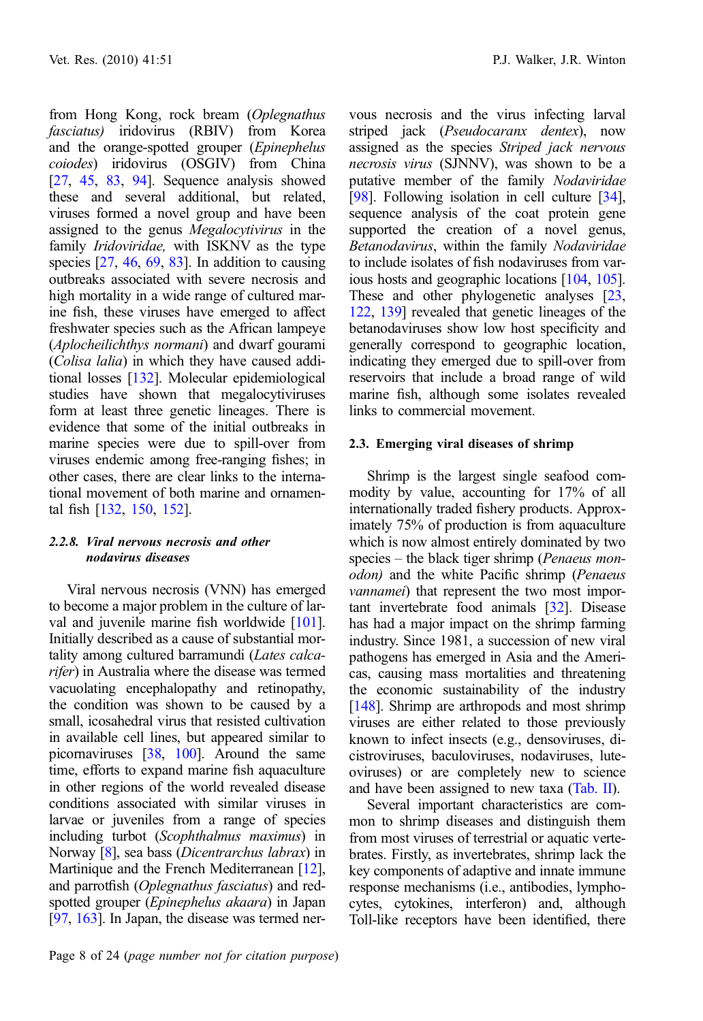from Hong Kong, rock bream (Oplegnathus fasciatus) iridovirus (RBIV) from Korea and the orange-spotted grouper (Epinephelus coiodes) iridovirus (OSGIV) from China [[27](#page-17-0), [45,](#page-18-0) [83](#page-20-0), [94\]](#page-20-0). Sequence analysis showed these and several additional, but related, viruses formed a novel group and have been assigned to the genus *Megalocytivirus* in the family *Iridoviridae*, with ISKNV as the type species  $[27, 46, 69, 83]$  $[27, 46, 69, 83]$  $[27, 46, 69, 83]$  $[27, 46, 69, 83]$  $[27, 46, 69, 83]$  $[27, 46, 69, 83]$  $[27, 46, 69, 83]$  $[27, 46, 69, 83]$ . In addition to causing outbreaks associated with severe necrosis and high mortality in a wide range of cultured marine fish, these viruses have emerged to affect freshwater species such as the African lampeye (Aplocheilichthys normani) and dwarf gourami (Colisa lalia) in which they have caused additional losses [\[132\]](#page-22-0). Molecular epidemiological studies have shown that megalocytiviruses form at least three genetic lineages. There is evidence that some of the initial outbreaks in marine species were due to spill-over from viruses endemic among free-ranging fishes; in other cases, there are clear links to the international movement of both marine and ornamental fish [[132](#page-22-0), [150,](#page-23-0) [152](#page-23-0)].

## 2.2.8. Viral nervous necrosis and other nodavirus diseases

Viral nervous necrosis (VNN) has emerged to become a major problem in the culture of larval and juvenile marine fish worldwide [[101](#page-21-0)]. Initially described as a cause of substantial mortality among cultured barramundi (Lates calcarifer) in Australia where the disease was termed vacuolating encephalopathy and retinopathy, the condition was shown to be caused by a small, icosahedral virus that resisted cultivation in available cell lines, but appeared similar to picornaviruses [[38](#page-18-0), [100\]](#page-20-0). Around the same time, efforts to expand marine fish aquaculture in other regions of the world revealed disease conditions associated with similar viruses in larvae or juveniles from a range of species including turbot (Scophthalmus maximus) in Norway [[8](#page-16-0)], sea bass (*Dicentrarchus labrax*) in Martinique and the French Mediterranean [[12](#page-17-0)], and parrotfish (Oplegnathus fasciatus) and redspotted grouper (Epinephelus akaara) in Japan [[97](#page-20-0), [163\]](#page-23-0). In Japan, the disease was termed nervous necrosis and the virus infecting larval striped jack (Pseudocaranx dentex), now assigned as the species Striped jack nervous necrosis virus (SJNNV), was shown to be a putative member of the family Nodaviridae [[98](#page-20-0)]. Following isolation in cell culture [\[34](#page-18-0)], sequence analysis of the coat protein gene supported the creation of a novel genus, Betanodavirus, within the family Nodaviridae to include isolates of fish nodaviruses from various hosts and geographic locations [[104](#page-21-0), [105](#page-21-0)]. These and other phylogenetic analyses [[23](#page-17-0), [122,](#page-21-0) [139](#page-22-0)] revealed that genetic lineages of the betanodaviruses show low host specificity and generally correspond to geographic location, indicating they emerged due to spill-over from reservoirs that include a broad range of wild marine fish, although some isolates revealed links to commercial movement.

## 2.3. Emerging viral diseases of shrimp

Shrimp is the largest single seafood commodity by value, accounting for 17% of all internationally traded fishery products. Approximately 75% of production is from aquaculture which is now almost entirely dominated by two species – the black tiger shrimp (Penaeus monodon) and the white Pacific shrimp (Penaeus vannamei) that represent the two most important invertebrate food animals [[32\]](#page-18-0). Disease has had a major impact on the shrimp farming industry. Since 1981, a succession of new viral pathogens has emerged in Asia and the Americas, causing mass mortalities and threatening the economic sustainability of the industry [[148](#page-23-0)]. Shrimp are arthropods and most shrimp viruses are either related to those previously known to infect insects (e.g., densoviruses, dicistroviruses, baculoviruses, nodaviruses, luteoviruses) or are completely new to science and have been assigned to new taxa [\(Tab. II\)](#page-8-0).

Several important characteristics are common to shrimp diseases and distinguish them from most viruses of terrestrial or aquatic vertebrates. Firstly, as invertebrates, shrimp lack the key components of adaptive and innate immune response mechanisms (i.e., antibodies, lymphocytes, cytokines, interferon) and, although Toll-like receptors have been identified, there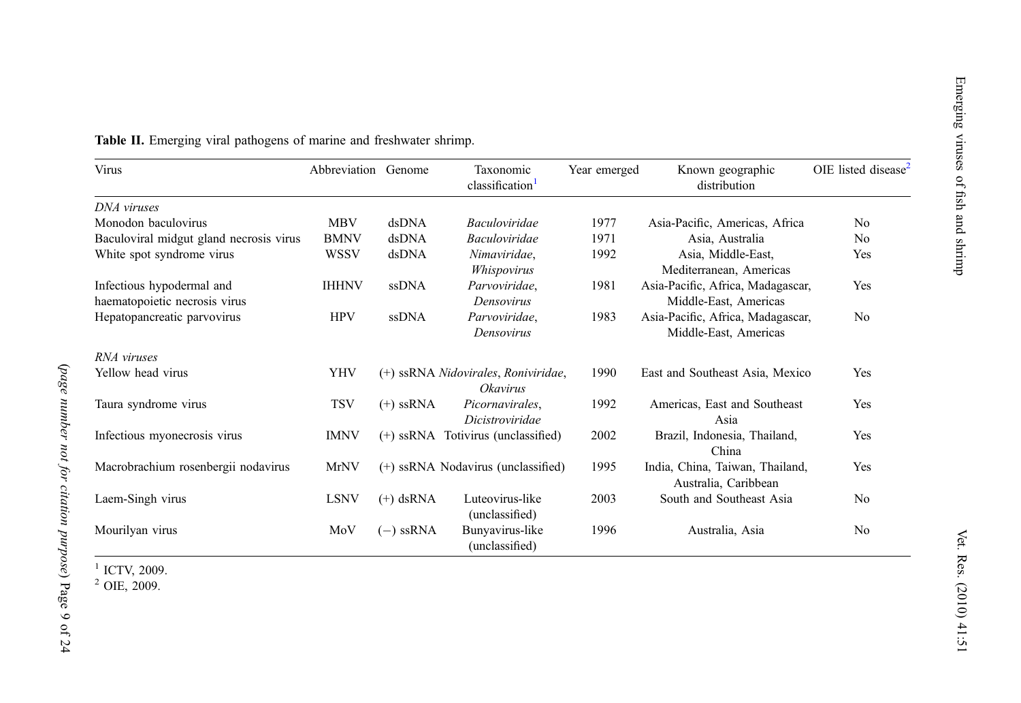| Virus                                                      | Abbreviation Genome |             | Taxonomic<br>classification                                   | Year emerged | Known geographic<br>distribution                           | OIE listed disease <sup>2</sup> |
|------------------------------------------------------------|---------------------|-------------|---------------------------------------------------------------|--------------|------------------------------------------------------------|---------------------------------|
| DNA viruses                                                |                     |             |                                                               |              |                                                            |                                 |
| Monodon baculovirus                                        | <b>MBV</b>          | dsDNA       | <b>Baculoviridae</b>                                          | 1977         | Asia-Pacific, Americas, Africa                             | No                              |
| Baculoviral midgut gland necrosis virus                    | <b>BMNV</b>         | dsDNA       | <b>Baculoviridae</b>                                          | 1971         | Asia, Australia                                            | N <sub>0</sub>                  |
| White spot syndrome virus                                  | <b>WSSV</b>         | dsDNA       | Nimaviridae,<br>Whispovirus                                   | 1992         | Asia, Middle-East,<br>Mediterranean, Americas              | Yes                             |
| Infectious hypodermal and<br>haematopoietic necrosis virus | <b>IHHNV</b>        | ssDNA       | Parvoviridae,<br>Densovirus                                   | 1981         | Asia-Pacific, Africa, Madagascar,<br>Middle-East, Americas | Yes                             |
| Hepatopancreatic parvovirus                                | <b>HPV</b>          | ssDNA       | Parvoviridae,<br>Densovirus                                   | 1983         | Asia-Pacific, Africa, Madagascar,<br>Middle-East, Americas | No                              |
| RNA viruses                                                |                     |             |                                                               |              |                                                            |                                 |
| Yellow head virus                                          | <b>YHV</b>          |             | (+) ssRNA Nidovirales, Roniviridae,<br><i><b>Okavirus</b></i> | 1990         | East and Southeast Asia, Mexico                            | Yes                             |
| Taura syndrome virus                                       | <b>TSV</b>          | $(+)$ ssRNA | Picornavirales,<br>Dicistroviridae                            | 1992         | Americas, East and Southeast<br>Asia                       | Yes                             |
| Infectious myonecrosis virus                               | <b>IMNV</b>         |             | (+) ssRNA Totivirus (unclassified)                            | 2002         | Brazil, Indonesia, Thailand,<br>China                      | Yes                             |
| Macrobrachium rosenbergii nodavirus                        | <b>MrNV</b>         |             | (+) ssRNA Nodavirus (unclassified)                            | 1995         | India, China, Taiwan, Thailand,<br>Australia, Caribbean    | Yes                             |
| Laem-Singh virus                                           | <b>LSNV</b>         | $(+)$ dsRNA | Luteovirus-like<br>(unclassified)                             | 2003         | South and Southeast Asia                                   | No                              |
| Mourilyan virus                                            | MoV                 | $(-)$ ssRNA | Bunyavirus-like<br>(unclassified)                             | 1996         | Australia, Asia                                            | N <sub>0</sub>                  |

<span id="page-8-0"></span>Table II. Emerging viral pathogens of marine and freshwater shrimp.

 $^{1}$  ICTV, 2009.<br> $^{2}$  OIE, 2009.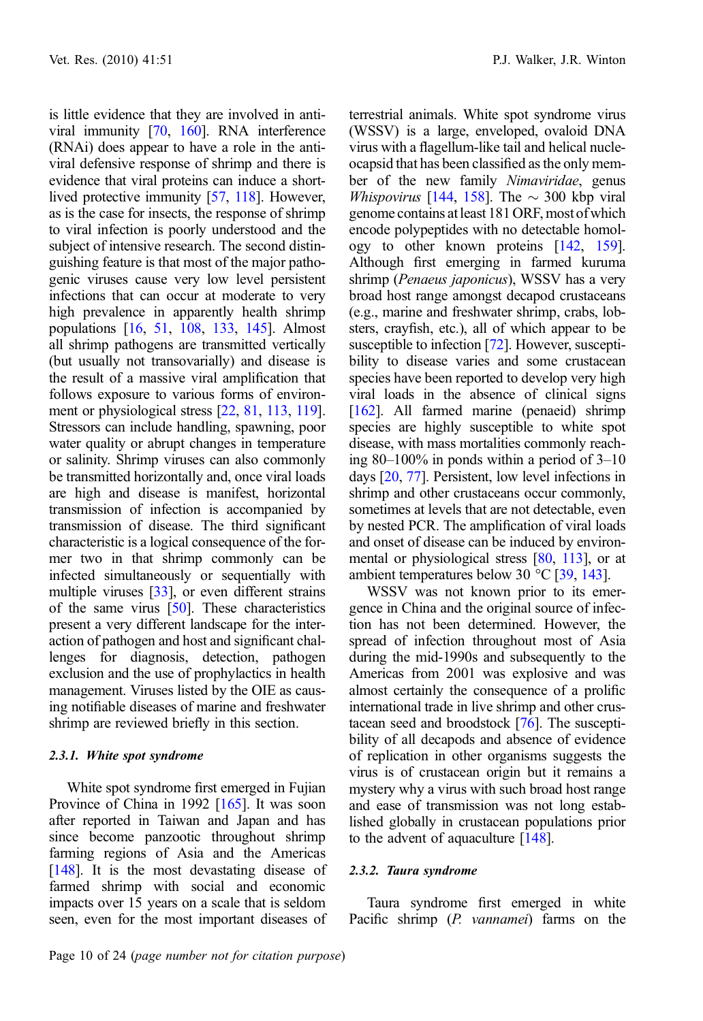is little evidence that they are involved in antiviral immunity [[70](#page-19-0), [160](#page-23-0)]. RNA interference (RNAi) does appear to have a role in the antiviral defensive response of shrimp and there is evidence that viral proteins can induce a shortlived protective immunity [[57](#page-19-0), [118](#page-21-0)]. However, as is the case for insects, the response of shrimp to viral infection is poorly understood and the subject of intensive research. The second distinguishing feature is that most of the major pathogenic viruses cause very low level persistent infections that can occur at moderate to very high prevalence in apparently health shrimp populations [\[16](#page-17-0), [51](#page-18-0), [108](#page-21-0), [133](#page-22-0), [145\]](#page-23-0). Almost all shrimp pathogens are transmitted vertically (but usually not transovarially) and disease is the result of a massive viral amplification that follows exposure to various forms of environment or physiological stress [\[22](#page-17-0), [81](#page-20-0), [113,](#page-21-0) [119](#page-21-0)]. Stressors can include handling, spawning, poor water quality or abrupt changes in temperature or salinity. Shrimp viruses can also commonly be transmitted horizontally and, once viral loads are high and disease is manifest, horizontal transmission of infection is accompanied by transmission of disease. The third significant characteristic is a logical consequence of the former two in that shrimp commonly can be infected simultaneously or sequentially with multiple viruses  $[33]$  $[33]$ , or even different strains of the same virus  $[50]$  $[50]$ . These characteristics present a very different landscape for the interaction of pathogen and host and significant challenges for diagnosis, detection, pathogen exclusion and the use of prophylactics in health management. Viruses listed by the OIE as causing notifiable diseases of marine and freshwater shrimp are reviewed briefly in this section.

#### 2.3.1. White spot syndrome

White spot syndrome first emerged in Fujian Province of China in 1992 [\[165](#page-23-0)]. It was soon after reported in Taiwan and Japan and has since become panzootic throughout shrimp farming regions of Asia and the Americas [[148](#page-23-0)]. It is the most devastating disease of farmed shrimp with social and economic impacts over 15 years on a scale that is seldom seen, even for the most important diseases of

terrestrial animals. White spot syndrome virus (WSSV) is a large, enveloped, ovaloid DNA virus with a flagellum-like tail and helical nucleocapsid that has been classified as the only member of the new family Nimaviridae, genus Whispovirus [\[144,](#page-22-0) [158\]](#page-23-0). The  $\sim$  300 kbp viral genome contains atleast 181 ORF, most of which encode polypeptides with no detectable homology to other known proteins [\[142,](#page-22-0) [159](#page-23-0)]. Although first emerging in farmed kuruma shrimp (Penaeus japonicus), WSSV has a very broad host range amongst decapod crustaceans (e.g., marine and freshwater shrimp, crabs, lobsters, crayfish, etc.), all of which appear to be susceptible to infection [[72\]](#page-19-0). However, susceptibility to disease varies and some crustacean species have been reported to develop very high viral loads in the absence of clinical signs [[162](#page-23-0)]. All farmed marine (penaeid) shrimp species are highly susceptible to white spot disease, with mass mortalities commonly reaching 80–100% in ponds within a period of 3–10 days [[20,](#page-17-0) [77](#page-19-0)]. Persistent, low level infections in shrimp and other crustaceans occur commonly, sometimes at levels that are not detectable, even by nested PCR. The amplification of viral loads and onset of disease can be induced by environmental or physiological stress [\[80,](#page-20-0) [113](#page-21-0)], or at ambient temperatures below 30 °C [\[39,](#page-18-0) [143](#page-22-0)].

WSSV was not known prior to its emergence in China and the original source of infection has not been determined. However, the spread of infection throughout most of Asia during the mid-1990s and subsequently to the Americas from 2001 was explosive and was almost certainly the consequence of a prolific international trade in live shrimp and other crustacean seed and broodstock [\[76\]](#page-19-0). The susceptibility of all decapods and absence of evidence of replication in other organisms suggests the virus is of crustacean origin but it remains a mystery why a virus with such broad host range and ease of transmission was not long established globally in crustacean populations prior to the advent of aquaculture [\[148\]](#page-23-0).

#### 2.3.2. Taura syndrome

Taura syndrome first emerged in white Pacific shrimp (P. vannamei) farms on the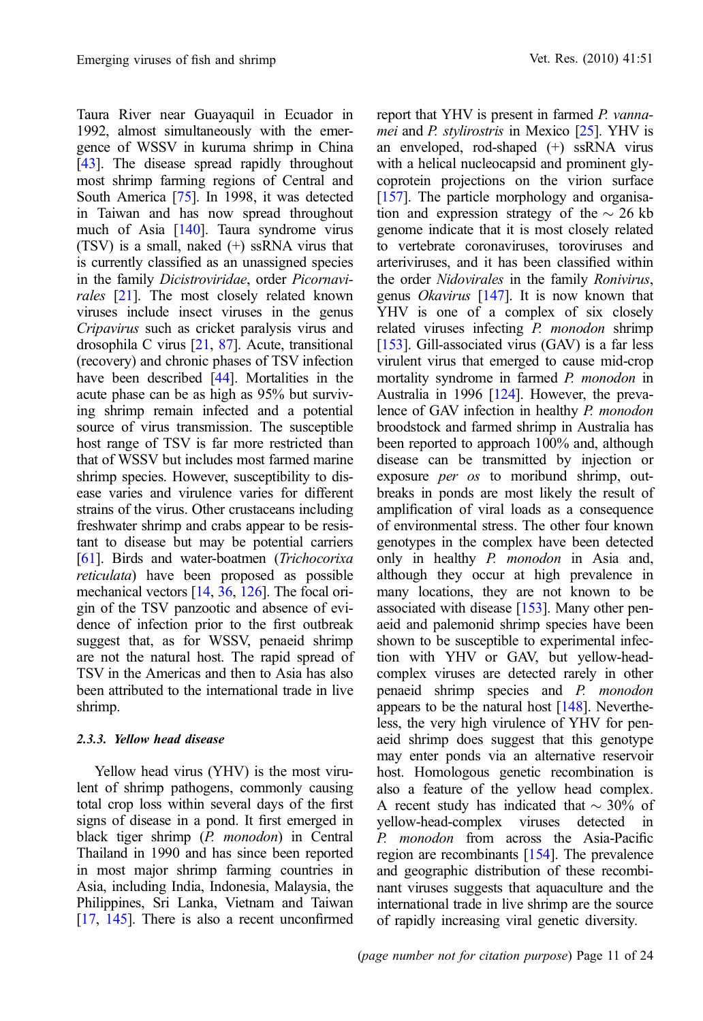Taura River near Guayaquil in Ecuador in 1992, almost simultaneously with the emergence of WSSV in kuruma shrimp in China [\[43\]](#page-18-0). The disease spread rapidly throughout most shrimp farming regions of Central and South America [[75\]](#page-19-0). In 1998, it was detected in Taiwan and has now spread throughout much of Asia [[140](#page-22-0)]. Taura syndrome virus (TSV) is a small, naked (+) ssRNA virus that is currently classified as an unassigned species in the family Dicistroviridae, order Picornavi-rales [[21\]](#page-17-0). The most closely related known viruses include insect viruses in the genus Cripavirus such as cricket paralysis virus and drosophila C virus [\[21,](#page-17-0) [87](#page-20-0)]. Acute, transitional (recovery) and chronic phases of TSV infection have been described [\[44\]](#page-18-0). Mortalities in the acute phase can be as high as 95% but surviving shrimp remain infected and a potential source of virus transmission. The susceptible host range of TSV is far more restricted than that of WSSV but includes most farmed marine shrimp species. However, susceptibility to disease varies and virulence varies for different strains of the virus. Other crustaceans including freshwater shrimp and crabs appear to be resistant to disease but may be potential carriers [\[61\]](#page-19-0). Birds and water-boatmen (Trichocorixa reticulata) have been proposed as possible mechanical vectors [\[14](#page-17-0), [36,](#page-18-0) [126](#page-22-0)]. The focal origin of the TSV panzootic and absence of evidence of infection prior to the first outbreak suggest that, as for WSSV, penaeid shrimp are not the natural host. The rapid spread of TSV in the Americas and then to Asia has also been attributed to the international trade in live shrimp.

## 2.3.3. Yellow head disease

Yellow head virus (YHV) is the most virulent of shrimp pathogens, commonly causing total crop loss within several days of the first signs of disease in a pond. It first emerged in black tiger shrimp (P. *monodon*) in Central Thailand in 1990 and has since been reported in most major shrimp farming countries in Asia, including India, Indonesia, Malaysia, the Philippines, Sri Lanka, Vietnam and Taiwan [\[17,](#page-17-0) [145\]](#page-23-0). There is also a recent unconfirmed

report that YHV is present in farmed P. vanna-mei and P. stylirostris in Mexico [\[25\]](#page-17-0). YHV is an enveloped, rod-shaped (+) ssRNA virus with a helical nucleocapsid and prominent glycoprotein projections on the virion surface [\[157](#page-23-0)]. The particle morphology and organisation and expression strategy of the  $\sim$  26 kb genome indicate that it is most closely related to vertebrate coronaviruses, toroviruses and arteriviruses, and it has been classified within the order Nidovirales in the family Ronivirus, genus Okavirus [\[147\]](#page-23-0). It is now known that YHV is one of a complex of six closely related viruses infecting P. monodon shrimp [\[153](#page-23-0)]. Gill-associated virus (GAV) is a far less virulent virus that emerged to cause mid-crop mortality syndrome in farmed P. monodon in Australia in 1996 [[124](#page-22-0)]. However, the prevalence of GAV infection in healthy P. monodon broodstock and farmed shrimp in Australia has been reported to approach 100% and, although disease can be transmitted by injection or exposure *per os* to moribund shrimp, outbreaks in ponds are most likely the result of amplification of viral loads as a consequence of environmental stress. The other four known genotypes in the complex have been detected only in healthy P. monodon in Asia and, although they occur at high prevalence in many locations, they are not known to be associated with disease [[153](#page-23-0)]. Many other penaeid and palemonid shrimp species have been shown to be susceptible to experimental infection with YHV or GAV, but yellow-headcomplex viruses are detected rarely in other penaeid shrimp species and P. monodon appears to be the natural host [[148](#page-23-0)]. Nevertheless, the very high virulence of YHV for penaeid shrimp does suggest that this genotype may enter ponds via an alternative reservoir host. Homologous genetic recombination is also a feature of the yellow head complex. A recent study has indicated that  $\sim$  30% of yellow-head-complex viruses detected in P. monodon from across the Asia-Pacific region are recombinants [[154](#page-23-0)]. The prevalence and geographic distribution of these recombinant viruses suggests that aquaculture and the international trade in live shrimp are the source of rapidly increasing viral genetic diversity.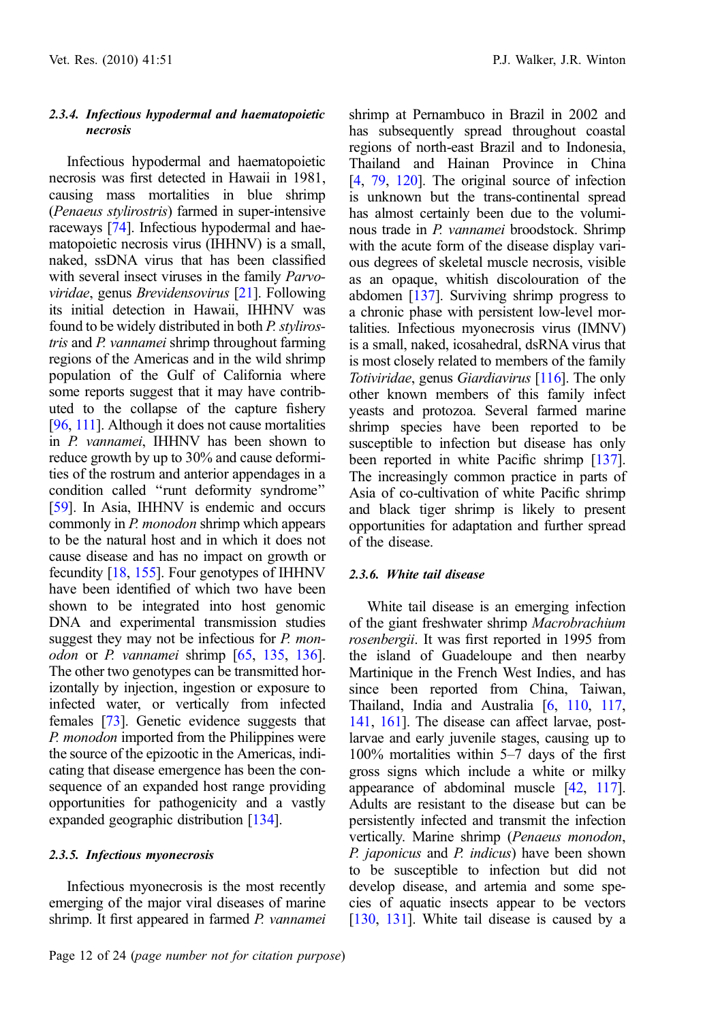## 2.3.4. Infectious hypodermal and haematopoietic necrosis

Infectious hypodermal and haematopoietic necrosis was first detected in Hawaii in 1981, causing mass mortalities in blue shrimp (Penaeus stylirostris) farmed in super-intensive raceways [\[74](#page-19-0)]. Infectious hypodermal and haematopoietic necrosis virus (IHHNV) is a small, naked, ssDNA virus that has been classified with several insect viruses in the family Parvo-viridae, genus Brevidensovirus [\[21\]](#page-17-0). Following its initial detection in Hawaii, IHHNV was found to be widely distributed in both P. stylirostris and P. vannamei shrimp throughout farming regions of the Americas and in the wild shrimp population of the Gulf of California where some reports suggest that it may have contributed to the collapse of the capture fishery [[96](#page-20-0), [111](#page-21-0)]. Although it does not cause mortalities in P. vannamei, IHHNV has been shown to reduce growth by up to 30% and cause deformities of the rostrum and anterior appendages in a condition called ''runt deformity syndrome'' [[59](#page-19-0)]. In Asia, IHHNV is endemic and occurs commonly in *P. monodon* shrimp which appears to be the natural host and in which it does not cause disease and has no impact on growth or fecundity [[18](#page-17-0), [155\]](#page-23-0). Four genotypes of IHHNV have been identified of which two have been shown to be integrated into host genomic DNA and experimental transmission studies suggest they may not be infectious for P. monodon or P. vannamei shrimp [\[65,](#page-19-0) [135,](#page-22-0) [136](#page-22-0)]. The other two genotypes can be transmitted horizontally by injection, ingestion or exposure to infected water, or vertically from infected females [\[73](#page-19-0)]. Genetic evidence suggests that P. monodon imported from the Philippines were the source of the epizootic in the Americas, indicating that disease emergence has been the consequence of an expanded host range providing opportunities for pathogenicity and a vastly expanded geographic distribution [\[134](#page-22-0)].

#### 2.3.5. Infectious myonecrosis

Infectious myonecrosis is the most recently emerging of the major viral diseases of marine shrimp. It first appeared in farmed P. vannamei shrimp at Pernambuco in Brazil in 2002 and has subsequently spread throughout coastal regions of north-east Brazil and to Indonesia, Thailand and Hainan Province in China [[4](#page-16-0), [79,](#page-20-0) [120](#page-21-0)]. The original source of infection is unknown but the trans-continental spread has almost certainly been due to the voluminous trade in P. vannamei broodstock. Shrimp with the acute form of the disease display various degrees of skeletal muscle necrosis, visible as an opaque, whitish discolouration of the abdomen [\[137\]](#page-22-0). Surviving shrimp progress to a chronic phase with persistent low-level mortalities. Infectious myonecrosis virus (IMNV) is a small, naked, icosahedral, dsRNA virus that is most closely related to members of the family Totiviridae, genus Giardiavirus [\[116](#page-21-0)]. The only other known members of this family infect yeasts and protozoa. Several farmed marine shrimp species have been reported to be susceptible to infection but disease has only been reported in white Pacific shrimp [[137](#page-22-0)]. The increasingly common practice in parts of Asia of co-cultivation of white Pacific shrimp and black tiger shrimp is likely to present opportunities for adaptation and further spread of the disease.

#### 2.3.6. White tail disease

White tail disease is an emerging infection of the giant freshwater shrimp Macrobrachium rosenbergii. It was first reported in 1995 from the island of Guadeloupe and then nearby Martinique in the French West Indies, and has since been reported from China, Taiwan, Thailand, India and Australia [\[6](#page-16-0), [110,](#page-21-0) [117](#page-21-0), [141,](#page-22-0) [161\]](#page-23-0). The disease can affect larvae, postlarvae and early juvenile stages, causing up to 100% mortalities within 5–7 days of the first gross signs which include a white or milky appearance of abdominal muscle [[42](#page-18-0), [117](#page-21-0)]. Adults are resistant to the disease but can be persistently infected and transmit the infection vertically. Marine shrimp (Penaeus monodon, P. *japonicus* and P. *indicus*) have been shown to be susceptible to infection but did not develop disease, and artemia and some species of aquatic insects appear to be vectors [[130](#page-22-0), [131](#page-22-0)]. White tail disease is caused by a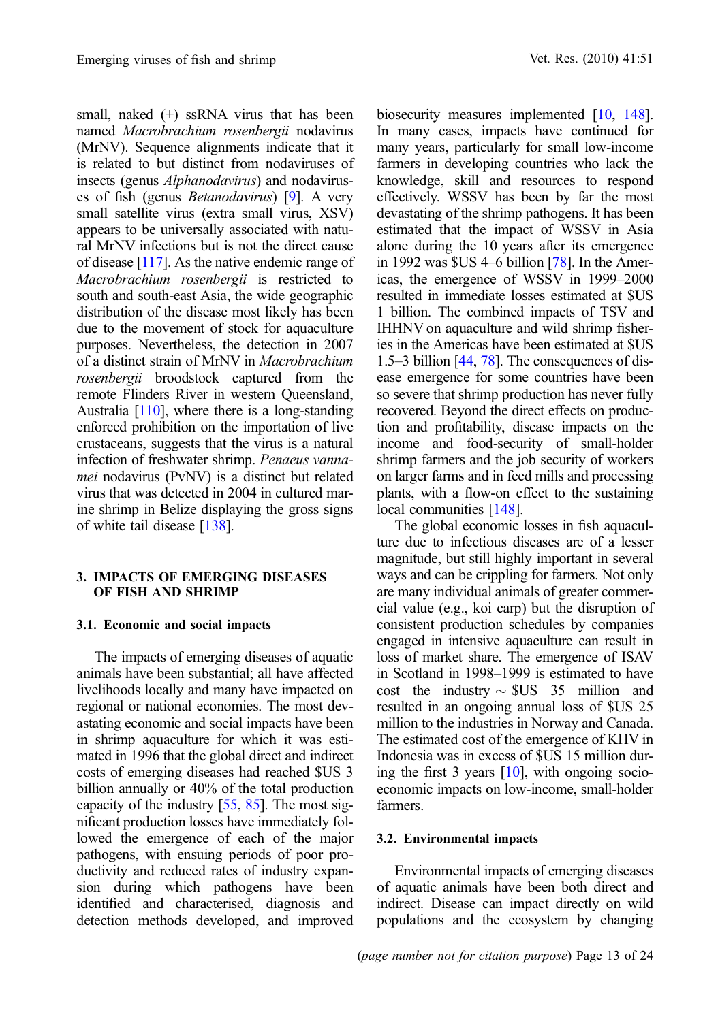small, naked (+) ssRNA virus that has been named Macrobrachium rosenbergii nodavirus (MrNV). Sequence alignments indicate that it is related to but distinct from nodaviruses of insects (genus *Alphanodavirus*) and nodaviruses of fish (genus Betanodavirus) [\[9\]](#page-16-0). A very small satellite virus (extra small virus, XSV) appears to be universally associated with natural MrNV infections but is not the direct cause of disease [\[117](#page-21-0)]. As the native endemic range of Macrobrachium rosenbergii is restricted to south and south-east Asia, the wide geographic distribution of the disease most likely has been due to the movement of stock for aquaculture purposes. Nevertheless, the detection in 2007 of a distinct strain of MrNV in Macrobrachium rosenbergii broodstock captured from the remote Flinders River in western Queensland, Australia [\[110\]](#page-21-0), where there is a long-standing enforced prohibition on the importation of live crustaceans, suggests that the virus is a natural infection of freshwater shrimp. Penaeus vannamei nodavirus (PvNV) is a distinct but related virus that was detected in 2004 in cultured marine shrimp in Belize displaying the gross signs of white tail disease [\[138\]](#page-22-0).

## 3. IMPACTS OF EMERGING DISEASES OF FISH AND SHRIMP

#### 3.1. Economic and social impacts

The impacts of emerging diseases of aquatic animals have been substantial; all have affected livelihoods locally and many have impacted on regional or national economies. The most devastating economic and social impacts have been in shrimp aquaculture for which it was estimated in 1996 that the global direct and indirect costs of emerging diseases had reached \$US 3 billion annually or 40% of the total production capacity of the industry [\[55](#page-19-0), [85](#page-20-0)]. The most significant production losses have immediately followed the emergence of each of the major pathogens, with ensuing periods of poor productivity and reduced rates of industry expansion during which pathogens have been identified and characterised, diagnosis and detection methods developed, and improved

biosecurity measures implemented [[10](#page-17-0), [148\]](#page-23-0). In many cases, impacts have continued for many years, particularly for small low-income farmers in developing countries who lack the knowledge, skill and resources to respond effectively. WSSV has been by far the most devastating of the shrimp pathogens. It has been estimated that the impact of WSSV in Asia alone during the 10 years after its emergence in 1992 was \$US 4–6 billion [[78](#page-20-0)]. In the Americas, the emergence of WSSV in 1999–2000 resulted in immediate losses estimated at \$US 1 billion. The combined impacts of TSV and IHHNV on aquaculture and wild shrimp fisheries in the Americas have been estimated at \$US 1.5–3 billion [\[44](#page-18-0), [78\]](#page-20-0). The consequences of disease emergence for some countries have been so severe that shrimp production has never fully recovered. Beyond the direct effects on production and profitability, disease impacts on the income and food-security of small-holder shrimp farmers and the job security of workers on larger farms and in feed mills and processing plants, with a flow-on effect to the sustaining local communities [\[148](#page-23-0)].

The global economic losses in fish aquaculture due to infectious diseases are of a lesser magnitude, but still highly important in several ways and can be crippling for farmers. Not only are many individual animals of greater commercial value (e.g., koi carp) but the disruption of consistent production schedules by companies engaged in intensive aquaculture can result in loss of market share. The emergence of ISAV in Scotland in 1998–1999 is estimated to have cost the industry  $\sim$  \$US 35 million and resulted in an ongoing annual loss of \$US 25 million to the industries in Norway and Canada. The estimated cost of the emergence of KHV in Indonesia was in excess of \$US 15 million during the first 3 years  $[10]$ , with ongoing socioeconomic impacts on low-income, small-holder farmers.

#### 3.2. Environmental impacts

Environmental impacts of emerging diseases of aquatic animals have been both direct and indirect. Disease can impact directly on wild populations and the ecosystem by changing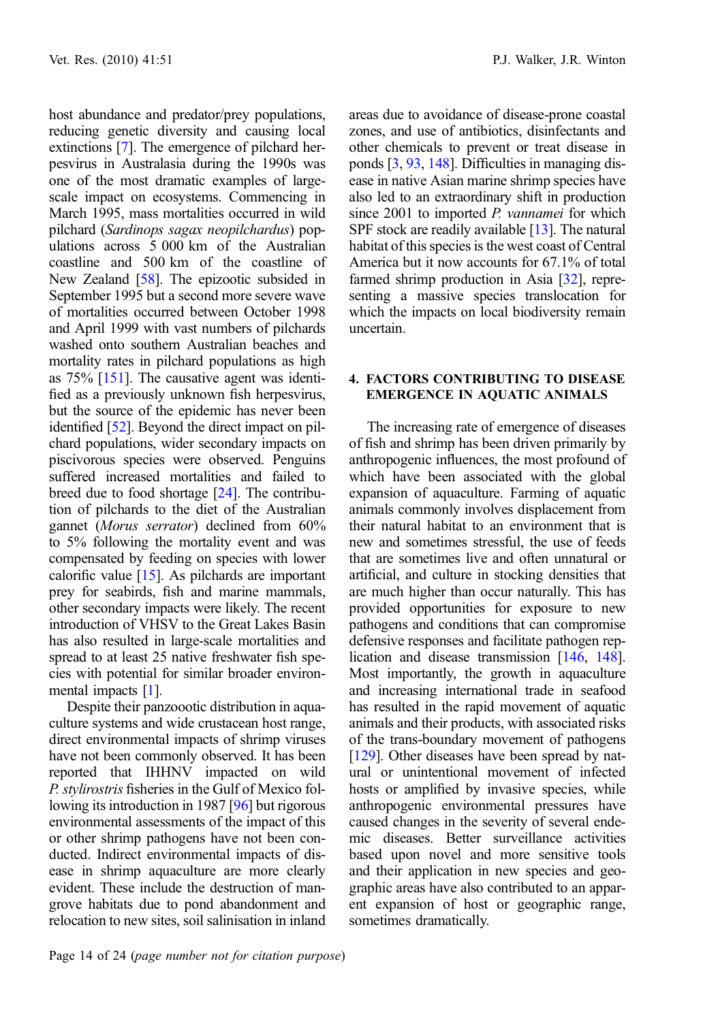host abundance and predator/prey populations, reducing genetic diversity and causing local extinctions [[7](#page-16-0)]. The emergence of pilchard herpesvirus in Australasia during the 1990s was one of the most dramatic examples of largescale impact on ecosystems. Commencing in March 1995, mass mortalities occurred in wild pilchard (Sardinops sagax neopilchardus) populations across 5 000 km of the Australian coastline and 500 km of the coastline of New Zealand [\[58](#page-19-0)]. The epizootic subsided in September 1995 but a second more severe wave of mortalities occurred between October 1998 and April 1999 with vast numbers of pilchards washed onto southern Australian beaches and mortality rates in pilchard populations as high as 75% [\[151\]](#page-23-0). The causative agent was identified as a previously unknown fish herpesvirus, but the source of the epidemic has never been identified [\[52\]](#page-18-0). Beyond the direct impact on pilchard populations, wider secondary impacts on piscivorous species were observed. Penguins suffered increased mortalities and failed to breed due to food shortage [\[24\]](#page-17-0). The contribution of pilchards to the diet of the Australian gannet (Morus serrator) declined from 60% to 5% following the mortality event and was compensated by feeding on species with lower calorific value  $[15]$ . As pilchards are important prey for seabirds, fish and marine mammals, other secondary impacts were likely. The recent introduction of VHSV to the Great Lakes Basin has also resulted in large-scale mortalities and spread to at least 25 native freshwater fish species with potential for similar broader environmental impacts [\[1\]](#page-16-0).

Despite their panzoootic distribution in aquaculture systems and wide crustacean host range, direct environmental impacts of shrimp viruses have not been commonly observed. It has been reported that IHHNV impacted on wild P. stylirostris fisheries in the Gulf of Mexico fol-lowing its introduction in 1987 [[96](#page-20-0)] but rigorous environmental assessments of the impact of this or other shrimp pathogens have not been conducted. Indirect environmental impacts of disease in shrimp aquaculture are more clearly evident. These include the destruction of mangrove habitats due to pond abandonment and relocation to new sites, soil salinisation in inland areas due to avoidance of disease-prone coastal zones, and use of antibiotics, disinfectants and other chemicals to prevent or treat disease in ponds [\[3,](#page-16-0) [93](#page-20-0), [148](#page-23-0)]. Difficulties in managing disease in native Asian marine shrimp species have also led to an extraordinary shift in production since 2001 to imported *P. vannamei* for which SPF stock are readily available [[13](#page-17-0)]. The natural habitat of this species is the west coast of Central America but it now accounts for 67.1% of total farmed shrimp production in Asia [\[32\]](#page-18-0), representing a massive species translocation for which the impacts on local biodiversity remain uncertain.

## 4. FACTORS CONTRIBUTING TO DISEASE EMERGENCE IN AQUATIC ANIMALS

The increasing rate of emergence of diseases of fish and shrimp has been driven primarily by anthropogenic influences, the most profound of which have been associated with the global expansion of aquaculture. Farming of aquatic animals commonly involves displacement from their natural habitat to an environment that is new and sometimes stressful, the use of feeds that are sometimes live and often unnatural or artificial, and culture in stocking densities that are much higher than occur naturally. This has provided opportunities for exposure to new pathogens and conditions that can compromise defensive responses and facilitate pathogen replication and disease transmission [\[146,](#page-23-0) [148](#page-23-0)]. Most importantly, the growth in aquaculture and increasing international trade in seafood has resulted in the rapid movement of aquatic animals and their products, with associated risks of the trans-boundary movement of pathogens [[129](#page-22-0)]. Other diseases have been spread by natural or unintentional movement of infected hosts or amplified by invasive species, while anthropogenic environmental pressures have caused changes in the severity of several endemic diseases. Better surveillance activities based upon novel and more sensitive tools and their application in new species and geographic areas have also contributed to an apparent expansion of host or geographic range, sometimes dramatically.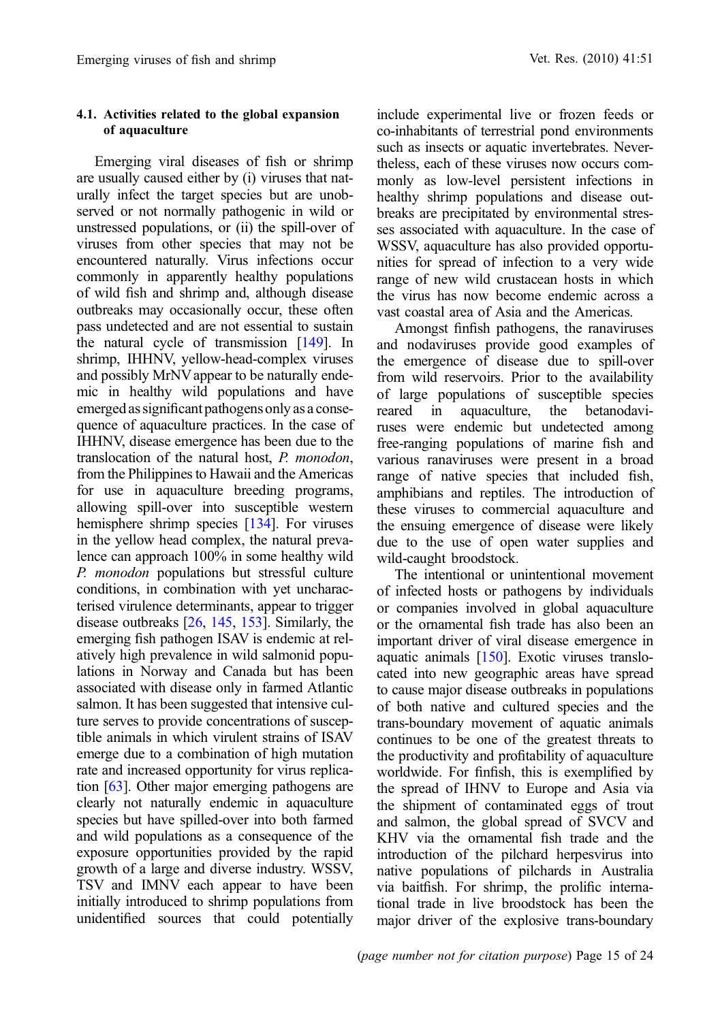## 4.1. Activities related to the global expansion of aquaculture

Emerging viral diseases of fish or shrimp are usually caused either by (i) viruses that naturally infect the target species but are unobserved or not normally pathogenic in wild or unstressed populations, or (ii) the spill-over of viruses from other species that may not be encountered naturally. Virus infections occur commonly in apparently healthy populations of wild fish and shrimp and, although disease outbreaks may occasionally occur, these often pass undetected and are not essential to sustain the natural cycle of transmission [[149](#page-23-0)]. In shrimp, IHHNV, yellow-head-complex viruses and possibly MrNV appear to be naturally endemic in healthy wild populations and have emerged as significant pathogens only as a consequence of aquaculture practices. In the case of IHHNV, disease emergence has been due to the translocation of the natural host, P. monodon, from the Philippines to Hawaii and the Americas for use in aquaculture breeding programs, allowing spill-over into susceptible western hemisphere shrimp species [[134](#page-22-0)]. For viruses in the yellow head complex, the natural prevalence can approach 100% in some healthy wild P. monodon populations but stressful culture conditions, in combination with yet uncharacterised virulence determinants, appear to trigger disease outbreaks [\[26,](#page-17-0) [145,](#page-23-0) [153\]](#page-23-0). Similarly, the emerging fish pathogen ISAV is endemic at relatively high prevalence in wild salmonid populations in Norway and Canada but has been associated with disease only in farmed Atlantic salmon. It has been suggested that intensive culture serves to provide concentrations of susceptible animals in which virulent strains of ISAV emerge due to a combination of high mutation rate and increased opportunity for virus replication [\[63](#page-19-0)]. Other major emerging pathogens are clearly not naturally endemic in aquaculture species but have spilled-over into both farmed and wild populations as a consequence of the exposure opportunities provided by the rapid growth of a large and diverse industry. WSSV, TSV and IMNV each appear to have been initially introduced to shrimp populations from unidentified sources that could potentially

include experimental live or frozen feeds or co-inhabitants of terrestrial pond environments such as insects or aquatic invertebrates. Nevertheless, each of these viruses now occurs commonly as low-level persistent infections in healthy shrimp populations and disease outbreaks are precipitated by environmental stresses associated with aquaculture. In the case of WSSV, aquaculture has also provided opportunities for spread of infection to a very wide range of new wild crustacean hosts in which the virus has now become endemic across a vast coastal area of Asia and the Americas.

Amongst finfish pathogens, the ranaviruses and nodaviruses provide good examples of the emergence of disease due to spill-over from wild reservoirs. Prior to the availability of large populations of susceptible species reared in aquaculture, the betanodaviruses were endemic but undetected among free-ranging populations of marine fish and various ranaviruses were present in a broad range of native species that included fish, amphibians and reptiles. The introduction of these viruses to commercial aquaculture and the ensuing emergence of disease were likely due to the use of open water supplies and wild-caught broodstock.

The intentional or unintentional movement of infected hosts or pathogens by individuals or companies involved in global aquaculture or the ornamental fish trade has also been an important driver of viral disease emergence in aquatic animals [\[150\]](#page-23-0). Exotic viruses translocated into new geographic areas have spread to cause major disease outbreaks in populations of both native and cultured species and the trans-boundary movement of aquatic animals continues to be one of the greatest threats to the productivity and profitability of aquaculture worldwide. For finfish, this is exemplified by the spread of IHNV to Europe and Asia via the shipment of contaminated eggs of trout and salmon, the global spread of SVCV and KHV via the ornamental fish trade and the introduction of the pilchard herpesvirus into native populations of pilchards in Australia via baitfish. For shrimp, the prolific international trade in live broodstock has been the major driver of the explosive trans-boundary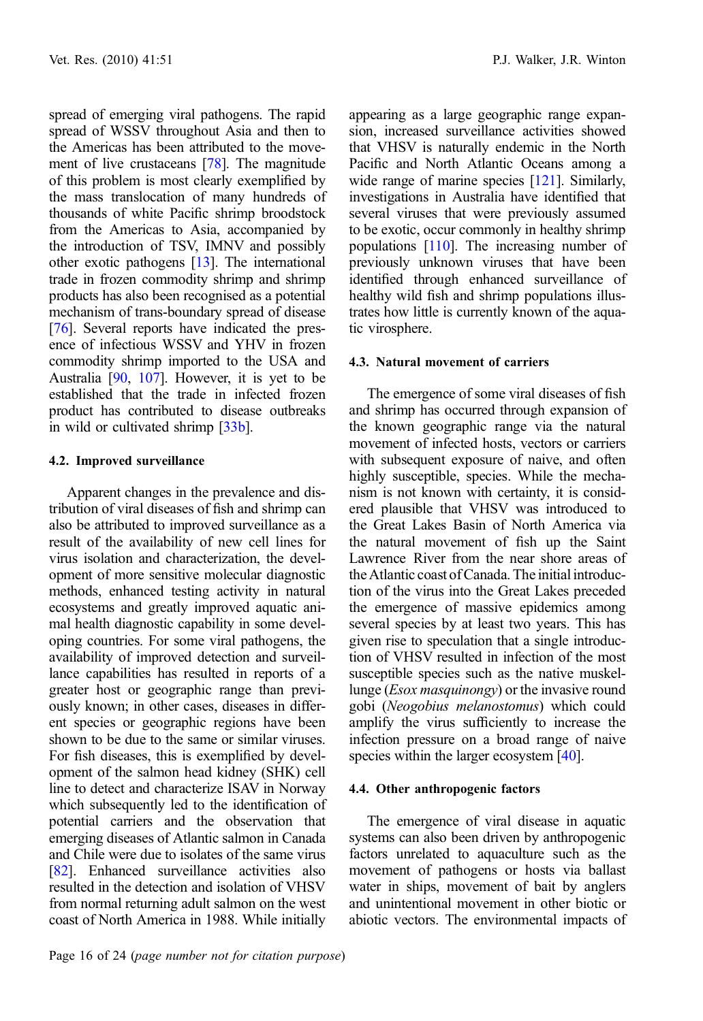spread of emerging viral pathogens. The rapid spread of WSSV throughout Asia and then to the Americas has been attributed to the movement of live crustaceans [[78](#page-20-0)]. The magnitude of this problem is most clearly exemplified by the mass translocation of many hundreds of thousands of white Pacific shrimp broodstock from the Americas to Asia, accompanied by the introduction of TSV, IMNV and possibly other exotic pathogens [\[13\]](#page-17-0). The international trade in frozen commodity shrimp and shrimp products has also been recognised as a potential mechanism of trans-boundary spread of disease [[76](#page-19-0)]. Several reports have indicated the presence of infectious WSSV and YHV in frozen commodity shrimp imported to the USA and Australia [\[90,](#page-20-0) [107](#page-21-0)]. However, it is yet to be established that the trade in infected frozen product has contributed to disease outbreaks in wild or cultivated shrimp [[33b](#page-18-0)].

## 4.2. Improved surveillance

Apparent changes in the prevalence and distribution of viral diseases of fish and shrimp can also be attributed to improved surveillance as a result of the availability of new cell lines for virus isolation and characterization, the development of more sensitive molecular diagnostic methods, enhanced testing activity in natural ecosystems and greatly improved aquatic animal health diagnostic capability in some developing countries. For some viral pathogens, the availability of improved detection and surveillance capabilities has resulted in reports of a greater host or geographic range than previously known; in other cases, diseases in different species or geographic regions have been shown to be due to the same or similar viruses. For fish diseases, this is exemplified by development of the salmon head kidney (SHK) cell line to detect and characterize ISAV in Norway which subsequently led to the identification of potential carriers and the observation that emerging diseases of Atlantic salmon in Canada and Chile were due to isolates of the same virus [[82](#page-20-0)]. Enhanced surveillance activities also resulted in the detection and isolation of VHSV from normal returning adult salmon on the west coast of North America in 1988. While initially

Page 16 of 24 (page number not for citation purpose)

sion, increased surveillance activities showed that VHSV is naturally endemic in the North Pacific and North Atlantic Oceans among a wide range of marine species [[121](#page-21-0)]. Similarly, investigations in Australia have identified that several viruses that were previously assumed to be exotic, occur commonly in healthy shrimp populations [\[110\]](#page-21-0). The increasing number of previously unknown viruses that have been identified through enhanced surveillance of healthy wild fish and shrimp populations illustrates how little is currently known of the aquatic virosphere.

## 4.3. Natural movement of carriers

The emergence of some viral diseases of fish and shrimp has occurred through expansion of the known geographic range via the natural movement of infected hosts, vectors or carriers with subsequent exposure of naive, and often highly susceptible, species. While the mechanism is not known with certainty, it is considered plausible that VHSV was introduced to the Great Lakes Basin of North America via the natural movement of fish up the Saint Lawrence River from the near shore areas of the Atlantic coast of Canada. The initial introduction of the virus into the Great Lakes preceded the emergence of massive epidemics among several species by at least two years. This has given rise to speculation that a single introduction of VHSV resulted in infection of the most susceptible species such as the native muskellunge (Esox masquinongy) or the invasive round gobi (Neogobius melanostomus) which could amplify the virus sufficiently to increase the infection pressure on a broad range of naive species within the larger ecosystem [[40\]](#page-18-0).

#### 4.4. Other anthropogenic factors

The emergence of viral disease in aquatic systems can also been driven by anthropogenic factors unrelated to aquaculture such as the movement of pathogens or hosts via ballast water in ships, movement of bait by anglers and unintentional movement in other biotic or abiotic vectors. The environmental impacts of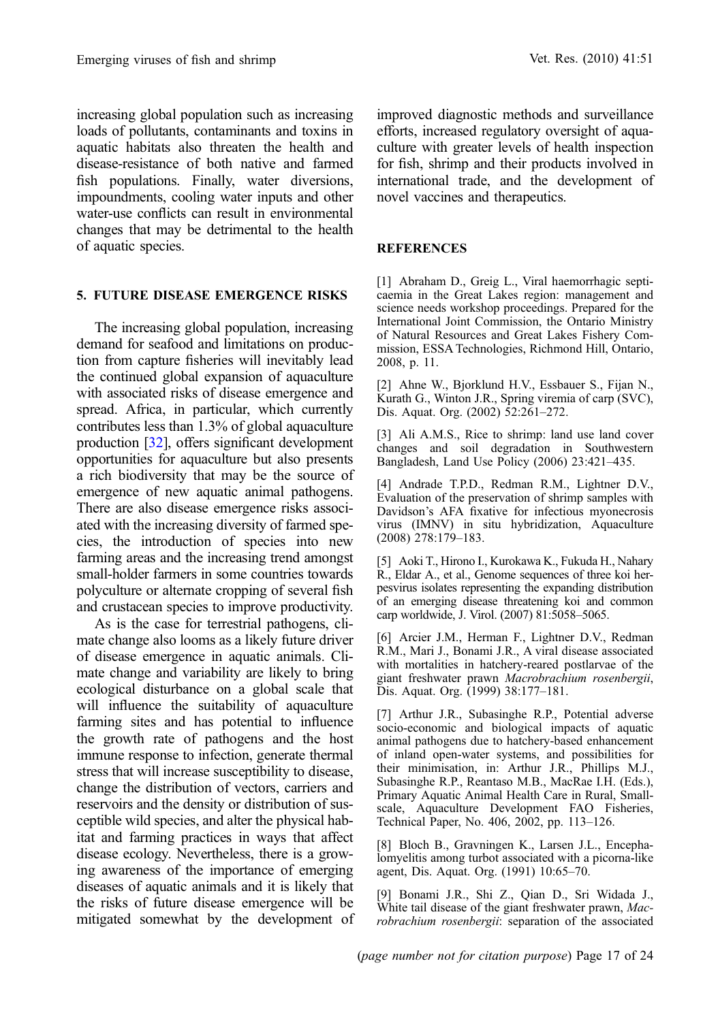<span id="page-16-0"></span>increasing global population such as increasing loads of pollutants, contaminants and toxins in aquatic habitats also threaten the health and disease-resistance of both native and farmed fish populations. Finally, water diversions, impoundments, cooling water inputs and other water-use conflicts can result in environmental changes that may be detrimental to the health of aquatic species.

#### 5. FUTURE DISEASE EMERGENCE RISKS

The increasing global population, increasing demand for seafood and limitations on production from capture fisheries will inevitably lead the continued global expansion of aquaculture with associated risks of disease emergence and spread. Africa, in particular, which currently contributes less than 1.3% of global aquaculture production [\[32\]](#page-18-0), offers significant development opportunities for aquaculture but also presents a rich biodiversity that may be the source of emergence of new aquatic animal pathogens. There are also disease emergence risks associated with the increasing diversity of farmed species, the introduction of species into new farming areas and the increasing trend amongst small-holder farmers in some countries towards polyculture or alternate cropping of several fish and crustacean species to improve productivity.

As is the case for terrestrial pathogens, climate change also looms as a likely future driver of disease emergence in aquatic animals. Climate change and variability are likely to bring ecological disturbance on a global scale that will influence the suitability of aquaculture farming sites and has potential to influence the growth rate of pathogens and the host immune response to infection, generate thermal stress that will increase susceptibility to disease, change the distribution of vectors, carriers and reservoirs and the density or distribution of susceptible wild species, and alter the physical habitat and farming practices in ways that affect disease ecology. Nevertheless, there is a growing awareness of the importance of emerging diseases of aquatic animals and it is likely that the risks of future disease emergence will be mitigated somewhat by the development of improved diagnostic methods and surveillance efforts, increased regulatory oversight of aquaculture with greater levels of health inspection for fish, shrimp and their products involved in international trade, and the development of novel vaccines and therapeutics.

#### **REFERENCES**

[1] Abraham D., Greig L., Viral haemorrhagic septicaemia in the Great Lakes region: management and science needs workshop proceedings. Prepared for the International Joint Commission, the Ontario Ministry of Natural Resources and Great Lakes Fishery Commission, ESSA Technologies, Richmond Hill, Ontario, 2008, p. 11.

[2] Ahne W., Bjorklund H.V., Essbauer S., Fijan N., Kurath G., Winton J.R., Spring viremia of carp (SVC), Dis. Aquat. Org. (2002) 52:261–272.

[3] Ali A.M.S., Rice to shrimp: land use land cover changes and soil degradation in Southwestern Bangladesh, Land Use Policy (2006) 23:421–435.

[4] Andrade T.P.D., Redman R.M., Lightner D.V., Evaluation of the preservation of shrimp samples with Davidson's AFA fixative for infectious myonecrosis virus (IMNV) in situ hybridization, Aquaculture (2008) 278:179–183.

[5] Aoki T., Hirono I., Kurokawa K., Fukuda H., Nahary R., Eldar A., et al., Genome sequences of three koi herpesvirus isolates representing the expanding distribution of an emerging disease threatening koi and common carp worldwide, J. Virol. (2007) 81:5058–5065.

[6] Arcier J.M., Herman F., Lightner D.V., Redman R.M., Mari J., Bonami J.R., A viral disease associated with mortalities in hatchery-reared postlarvae of the giant freshwater prawn Macrobrachium rosenbergii, Dis. Aquat. Org. (1999) 38:177–181.

[7] Arthur J.R., Subasinghe R.P., Potential adverse socio-economic and biological impacts of aquatic animal pathogens due to hatchery-based enhancement of inland open-water systems, and possibilities for their minimisation, in: Arthur J.R., Phillips M.J., Subasinghe R.P., Reantaso M.B., MacRae I.H. (Eds.), Primary Aquatic Animal Health Care in Rural, Smallscale, Aquaculture Development FAO Fisheries, Technical Paper, No. 406, 2002, pp. 113–126.

[8] Bloch B., Gravningen K., Larsen J.L., Encephalomyelitis among turbot associated with a picorna-like agent, Dis. Aquat. Org. (1991) 10:65–70.

[9] Bonami J.R., Shi Z., Qian D., Sri Widada J., White tail disease of the giant freshwater prawn, Macrobrachium rosenbergii: separation of the associated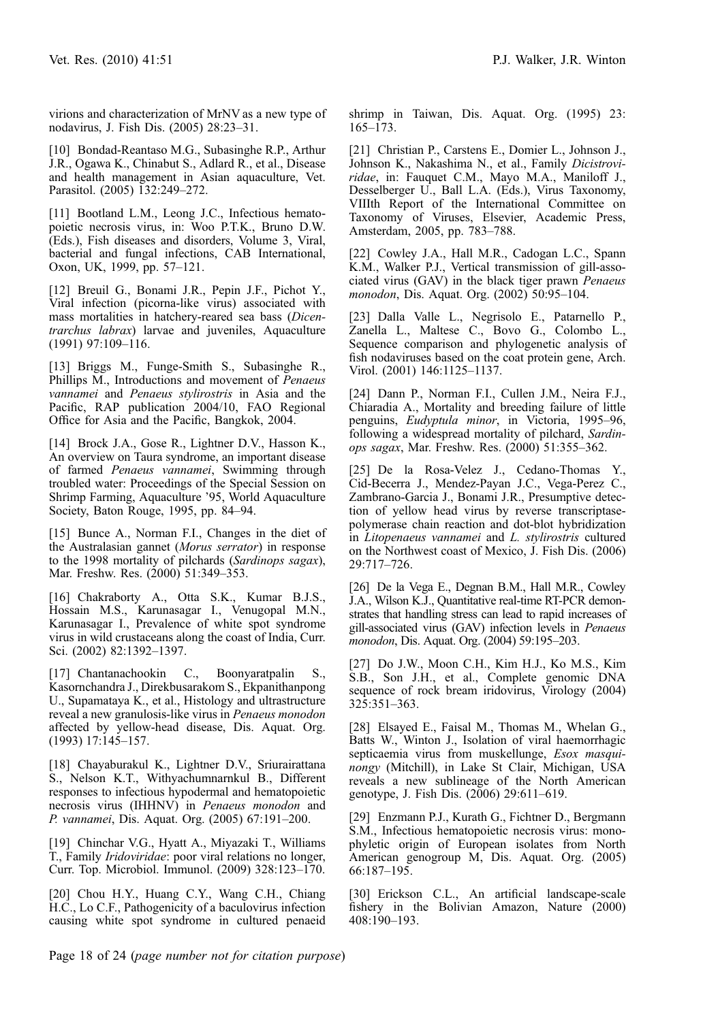<span id="page-17-0"></span>virions and characterization of MrNV as a new type of nodavirus, J. Fish Dis. (2005) 28:23–31.

[10] Bondad-Reantaso M.G., Subasinghe R.P., Arthur J.R., Ogawa K., Chinabut S., Adlard R., et al., Disease and health management in Asian aquaculture, Vet. Parasitol. (2005) 132:249–272.

[11] Bootland L.M., Leong J.C., Infectious hematopoietic necrosis virus, in: Woo P.T.K., Bruno D.W. (Eds.), Fish diseases and disorders, Volume 3, Viral, bacterial and fungal infections, CAB International, Oxon, UK, 1999, pp. 57–121.

[12] Breuil G., Bonami J.R., Pepin J.F., Pichot Y., Viral infection (picorna-like virus) associated with mass mortalities in hatchery-reared sea bass (Dicentrarchus labrax) larvae and juveniles, Aquaculture (1991) 97:109–116.

[13] Briggs M., Funge-Smith S., Subasinghe R., Phillips M., Introductions and movement of Penaeus vannamei and Penaeus stylirostris in Asia and the Pacific, RAP publication 2004/10, FAO Regional Office for Asia and the Pacific, Bangkok, 2004.

[14] Brock J.A., Gose R., Lightner D.V., Hasson K., An overview on Taura syndrome, an important disease of farmed Penaeus vannamei, Swimming through troubled water: Proceedings of the Special Session on Shrimp Farming, Aquaculture '95, World Aquaculture Society, Baton Rouge, 1995, pp. 84–94.

[15] Bunce A., Norman F.I., Changes in the diet of the Australasian gannet (Morus serrator) in response to the 1998 mortality of pilchards (Sardinops sagax), Mar. Freshw. Res. (2000) 51:349–353.

[16] Chakraborty A., Otta S.K., Kumar B.J.S., Hossain M.S., Karunasagar I., Venugopal M.N., Karunasagar I., Prevalence of white spot syndrome virus in wild crustaceans along the coast of India, Curr. Sci. (2002) 82:1392–1397.

[17] Chantanachookin C., Boonyaratpalin S., Kasornchandra J., Direkbusarakom S., Ekpanithanpong U., Supamataya K., et al., Histology and ultrastructure reveal a new granulosis-like virus in Penaeus monodon affected by yellow-head disease, Dis. Aquat. Org. (1993) 17:145–157.

[18] Chayaburakul K., Lightner D.V., Sriurairattana S., Nelson K.T., Withyachumnarnkul B., Different responses to infectious hypodermal and hematopoietic necrosis virus (IHHNV) in Penaeus monodon and P. vannamei, Dis. Aquat. Org. (2005) 67:191–200.

[19] Chinchar V.G., Hyatt A., Miyazaki T., Williams T., Family Iridoviridae: poor viral relations no longer, Curr. Top. Microbiol. Immunol. (2009) 328:123–170.

[20] Chou H.Y., Huang C.Y., Wang C.H., Chiang H.C., Lo C.F., Pathogenicity of a baculovirus infection causing white spot syndrome in cultured penaeid shrimp in Taiwan, Dis. Aquat. Org. (1995) 23:  $165 - 173.$ 

[21] Christian P., Carstens E., Domier L., Johnson J., Johnson K., Nakashima N., et al., Family Dicistroviridae, in: Fauquet C.M., Mayo M.A., Maniloff J., Desselberger U., Ball L.A. (Eds.), Virus Taxonomy, VIIIth Report of the International Committee on Taxonomy of Viruses, Elsevier, Academic Press, Amsterdam, 2005, pp. 783–788.

[22] Cowley J.A., Hall M.R., Cadogan L.C., Spann K.M., Walker P.J., Vertical transmission of gill-associated virus (GAV) in the black tiger prawn Penaeus monodon, Dis. Aquat. Org. (2002) 50:95–104.

[23] Dalla Valle L., Negrisolo E., Patarnello P., Zanella L., Maltese C., Bovo G., Colombo L., Sequence comparison and phylogenetic analysis of fish nodaviruses based on the coat protein gene, Arch. Virol. (2001) 146:1125–1137.

[24] Dann P., Norman F.I., Cullen J.M., Neira F.J., Chiaradia A., Mortality and breeding failure of little penguins, Eudyptula minor, in Victoria, 1995–96, following a widespread mortality of pilchard, Sardinops sagax, Mar. Freshw. Res. (2000) 51:355–362.

[25] De la Rosa-Velez J., Cedano-Thomas Y., Cid-Becerra J., Mendez-Payan J.C., Vega-Perez C., Zambrano-Garcia J., Bonami J.R., Presumptive detection of yellow head virus by reverse transcriptasepolymerase chain reaction and dot-blot hybridization in Litopenaeus vannamei and L. stylirostris cultured on the Northwest coast of Mexico, J. Fish Dis. (2006) 29:717–726.

[26] De la Vega E., Degnan B.M., Hall M.R., Cowley J.A., Wilson K.J., Quantitative real-time RT-PCR demonstrates that handling stress can lead to rapid increases of gill-associated virus (GAV) infection levels in Penaeus monodon, Dis. Aquat. Org. (2004) 59:195–203.

[27] Do J.W., Moon C.H., Kim H.J., Ko M.S., Kim S.B., Son J.H., et al., Complete genomic DNA sequence of rock bream iridovirus, Virology (2004) 325:351–363.

[28] Elsayed E., Faisal M., Thomas M., Whelan G., Batts W., Winton J., Isolation of viral haemorrhagic septicaemia virus from muskellunge, Esox masquinongy (Mitchill), in Lake St Clair, Michigan, USA reveals a new sublineage of the North American genotype, J. Fish Dis. (2006) 29:611–619.

[29] Enzmann P.J., Kurath G., Fichtner D., Bergmann S.M., Infectious hematopoietic necrosis virus: monophyletic origin of European isolates from North American genogroup M, Dis. Aquat. Org. (2005) 66:187–195.

[30] Erickson C.L., An artificial landscape-scale fishery in the Bolivian Amazon, Nature (2000) 408:190–193.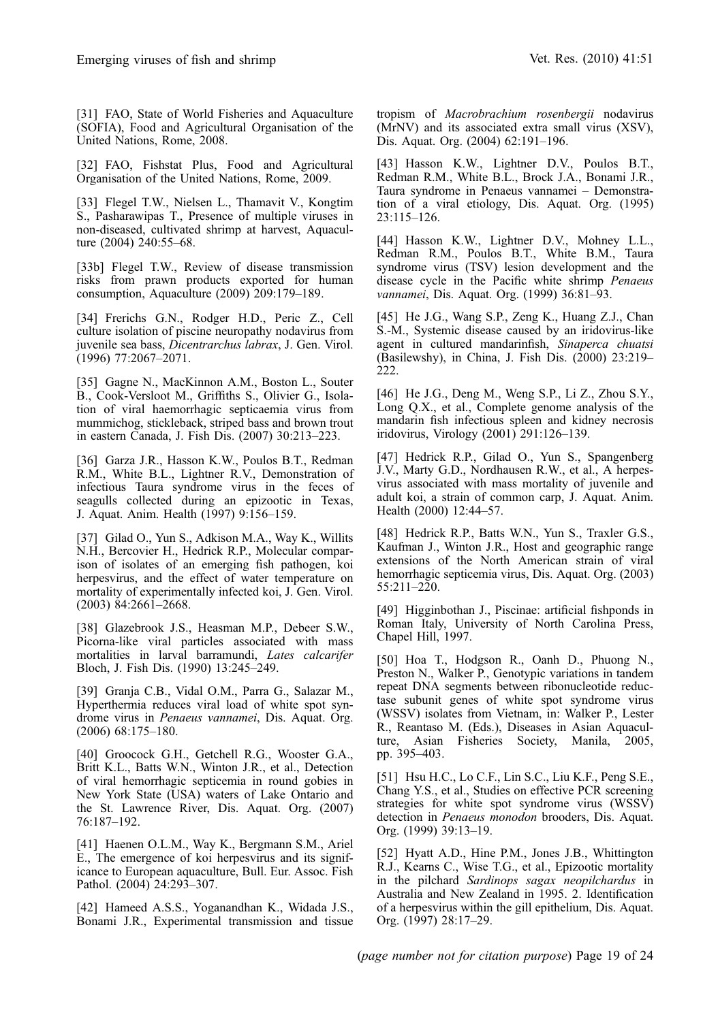<span id="page-18-0"></span>[31] FAO, State of World Fisheries and Aquaculture (SOFIA), Food and Agricultural Organisation of the United Nations, Rome, 2008.

[32] FAO, Fishstat Plus, Food and Agricultural Organisation of the United Nations, Rome, 2009.

[33] Flegel T.W., Nielsen L., Thamavit V., Kongtim S., Pasharawipas T., Presence of multiple viruses in non-diseased, cultivated shrimp at harvest, Aquaculture (2004) 240:55–68.

[33b] Flegel T.W., Review of disease transmission risks from prawn products exported for human consumption, Aquaculture (2009) 209:179–189.

[34] Frerichs G.N., Rodger H.D., Peric Z., Cell culture isolation of piscine neuropathy nodavirus from juvenile sea bass, Dicentrarchus labrax, J. Gen. Virol. (1996) 77:2067–2071.

[35] Gagne N., MacKinnon A.M., Boston L., Souter B., Cook-Versloot M., Griffiths S., Olivier G., Isolation of viral haemorrhagic septicaemia virus from mummichog, stickleback, striped bass and brown trout in eastern Canada, J. Fish Dis. (2007) 30:213–223.

[36] Garza J.R., Hasson K.W., Poulos B.T., Redman R.M., White B.L., Lightner R.V., Demonstration of infectious Taura syndrome virus in the feces of seagulls collected during an epizootic in Texas, J. Aquat. Anim. Health (1997) 9:156–159.

[37] Gilad O., Yun S., Adkison M.A., Way K., Willits N.H., Bercovier H., Hedrick R.P., Molecular comparison of isolates of an emerging fish pathogen, koi herpesvirus, and the effect of water temperature on mortality of experimentally infected koi, J. Gen. Virol. (2003) 84:2661–2668.

[38] Glazebrook J.S., Heasman M.P., Debeer S.W., Picorna-like viral particles associated with mass mortalities in larval barramundi, Lates calcarifer Bloch, J. Fish Dis. (1990) 13:245–249.

[39] Granja C.B., Vidal O.M., Parra G., Salazar M., Hyperthermia reduces viral load of white spot syndrome virus in Penaeus vannamei, Dis. Aquat. Org. (2006) 68:175–180.

[40] Groocock G.H., Getchell R.G., Wooster G.A., Britt K.L., Batts W.N., Winton J.R., et al., Detection of viral hemorrhagic septicemia in round gobies in New York State (USA) waters of Lake Ontario and the St. Lawrence River, Dis. Aquat. Org. (2007) 76:187–192.

[41] Haenen O.L.M., Way K., Bergmann S.M., Ariel E., The emergence of koi herpesvirus and its significance to European aquaculture, Bull. Eur. Assoc. Fish Pathol. (2004) 24:293–307.

[42] Hameed A.S.S., Yoganandhan K., Widada J.S., Bonami J.R., Experimental transmission and tissue tropism of Macrobrachium rosenbergii nodavirus (MrNV) and its associated extra small virus (XSV), Dis. Aquat. Org. (2004) 62:191–196.

[43] Hasson K.W., Lightner D.V., Poulos B.T., Redman R.M., White B.L., Brock J.A., Bonami J.R., Taura syndrome in Penaeus vannamei – Demonstration of a viral etiology, Dis. Aquat. Org. (1995) 23:115–126.

[44] Hasson K.W., Lightner D.V., Mohney L.L., Redman R.M., Poulos B.T., White B.M., Taura syndrome virus (TSV) lesion development and the disease cycle in the Pacific white shrimp Penaeus vannamei, Dis. Aquat. Org. (1999) 36:81–93.

[45] He J.G., Wang S.P., Zeng K., Huang Z.J., Chan S.-M., Systemic disease caused by an iridovirus-like agent in cultured mandarinfish, Sinaperca chuatsi (Basilewshy), in China, J. Fish Dis. (2000) 23:219–  $222.$ 

[46] He J.G., Deng M., Weng S.P., Li Z., Zhou S.Y., Long Q.X., et al., Complete genome analysis of the mandarin fish infectious spleen and kidney necrosis iridovirus, Virology (2001) 291:126–139.

[47] Hedrick R.P., Gilad O., Yun S., Spangenberg J.V., Marty G.D., Nordhausen R.W., et al., A herpesvirus associated with mass mortality of juvenile and adult koi, a strain of common carp, J. Aquat. Anim. Health (2000) 12:44–57.

[48] Hedrick R.P., Batts W.N., Yun S., Traxler G.S., Kaufman J., Winton J.R., Host and geographic range extensions of the North American strain of viral hemorrhagic septicemia virus, Dis. Aquat. Org. (2003) 55:211–220.

[49] Higginbothan J., Piscinae: artificial fishponds in Roman Italy, University of North Carolina Press, Chapel Hill, 1997.

[50] Hoa T., Hodgson R., Oanh D., Phuong N., Preston N., Walker P., Genotypic variations in tandem repeat DNA segments between ribonucleotide reductase subunit genes of white spot syndrome virus (WSSV) isolates from Vietnam, in: Walker P., Lester R., Reantaso M. (Eds.), Diseases in Asian Aquaculture, Asian Fisheries Society, Manila, 2005, pp. 395–403.

[51] Hsu H.C., Lo C.F., Lin S.C., Liu K.F., Peng S.E., Chang Y.S., et al., Studies on effective PCR screening strategies for white spot syndrome virus (WSSV) detection in Penaeus monodon brooders, Dis. Aquat. Org. (1999) 39:13–19.

[52] Hyatt A.D., Hine P.M., Jones J.B., Whittington R.J., Kearns C., Wise T.G., et al., Epizootic mortality in the pilchard Sardinops sagax neopilchardus in Australia and New Zealand in 1995. 2. Identification of a herpesvirus within the gill epithelium, Dis. Aquat. Org. (1997) 28:17–29.

(page number not for citation purpose) Page 19 of 24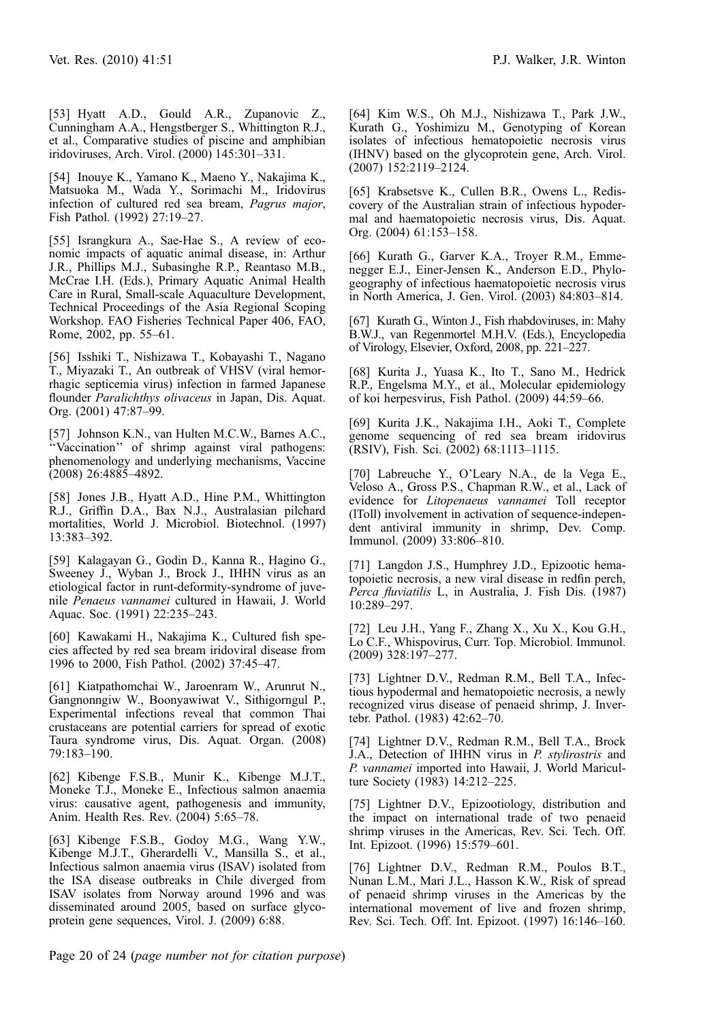<span id="page-19-0"></span>[53] Hyatt A.D., Gould A.R., Zupanovic Z., Cunningham A.A., Hengstberger S., Whittington R.J., et al., Comparative studies of piscine and amphibian iridoviruses, Arch. Virol. (2000) 145:301–331.

[54] Inouye K., Yamano K., Maeno Y., Nakajima K., Matsuoka M., Wada Y., Sorimachi M., Iridovirus infection of cultured red sea bream, Pagrus major, Fish Pathol. (1992) 27:19–27.

[55] Israngkura A., Sae-Hae S., A review of economic impacts of aquatic animal disease, in: Arthur J.R., Phillips M.J., Subasinghe R.P., Reantaso M.B., McCrae I.H. (Eds.), Primary Aquatic Animal Health Care in Rural, Small-scale Aquaculture Development, Technical Proceedings of the Asia Regional Scoping Workshop. FAO Fisheries Technical Paper 406, FAO, Rome, 2002, pp. 55–61.

[56] Isshiki T., Nishizawa T., Kobayashi T., Nagano T., Miyazaki T., An outbreak of VHSV (viral hemorrhagic septicemia virus) infection in farmed Japanese flounder *Paralichthys olivaceus* in Japan, Dis. Aquat. Org. (2001) 47:87–99.

[57] Johnson K.N., van Hulten M.C.W., Barnes A.C., ''Vaccination'' of shrimp against viral pathogens: phenomenology and underlying mechanisms, Vaccine (2008) 26:4885–4892.

[58] Jones J.B., Hyatt A.D., Hine P.M., Whittington R.J., Griffin D.A., Bax N.J., Australasian pilchard mortalities, World J. Microbiol. Biotechnol. (1997) 13:383–392.

[59] Kalagayan G., Godin D., Kanna R., Hagino G., Sweeney J., Wyban J., Brock J., IHHN virus as an etiological factor in runt-deformity-syndrome of juvenile Penaeus vannamei cultured in Hawaii, J. World Aquac. Soc. (1991) 22:235–243.

[60] Kawakami H., Nakajima K., Cultured fish species affected by red sea bream iridoviral disease from 1996 to 2000, Fish Pathol. (2002) 37:45–47.

[61] Kiatpathomchai W., Jaroenram W., Arunrut N., Gangnonngiw W., Boonyawiwat V., Sithigorngul P., Experimental infections reveal that common Thai crustaceans are potential carriers for spread of exotic Taura syndrome virus, Dis. Aquat. Organ. (2008) 79:183–190.

[62] Kibenge F.S.B., Munir K., Kibenge M.J.T., Moneke T.J., Moneke E., Infectious salmon anaemia virus: causative agent, pathogenesis and immunity, Anim. Health Res. Rev. (2004) 5:65–78.

[63] Kibenge F.S.B., Godoy M.G., Wang Y.W., Kibenge M.J.T., Gherardelli V., Mansilla S., et al., Infectious salmon anaemia virus (ISAV) isolated from the ISA disease outbreaks in Chile diverged from ISAV isolates from Norway around 1996 and was disseminated around 2005, based on surface glycoprotein gene sequences, Virol. J. (2009) 6:88.

[64] Kim W.S., Oh M.J., Nishizawa T., Park J.W., Kurath G., Yoshimizu M., Genotyping of Korean isolates of infectious hematopoietic necrosis virus (IHNV) based on the glycoprotein gene, Arch. Virol. (2007) 152:2119–2124.

[65] Krabsetsve K., Cullen B.R., Owens L., Rediscovery of the Australian strain of infectious hypodermal and haematopoietic necrosis virus, Dis. Aquat. Org. (2004) 61:153–158.

[66] Kurath G., Garver K.A., Troyer R.M., Emmenegger E.J., Einer-Jensen K., Anderson E.D., Phylogeography of infectious haematopoietic necrosis virus in North America, J. Gen. Virol. (2003) 84:803–814.

[67] Kurath G., Winton J., Fish rhabdoviruses, in: Mahy B.W.J., van Regenmortel M.H.V. (Eds.), Encyclopedia of Virology, Elsevier, Oxford, 2008, pp. 221–227.

[68] Kurita J., Yuasa K., Ito T., Sano M., Hedrick R.P., Engelsma M.Y., et al., Molecular epidemiology of koi herpesvirus, Fish Pathol. (2009) 44:59–66.

[69] Kurita J.K., Nakajima I.H., Aoki T., Complete genome sequencing of red sea bream iridovirus (RSIV), Fish. Sci. (2002) 68:1113–1115.

[70] Labreuche Y., O'Leary N.A., de la Vega E., Veloso A., Gross P.S., Chapman R.W., et al., Lack of evidence for Litopenaeus vannamei Toll receptor (lToll) involvement in activation of sequence-independent antiviral immunity in shrimp, Dev. Comp. Immunol. (2009) 33:806–810.

[71] Langdon J.S., Humphrey J.D., Epizootic hematopoietic necrosis, a new viral disease in redfin perch, Perca fluviatilis L, in Australia, J. Fish Dis. (1987) 10:289–297.

[72] Leu J.H., Yang F., Zhang X., Xu X., Kou G.H., Lo C.F., Whispovirus, Curr. Top. Microbiol. Immunol. (2009) 328:197–277.

[73] Lightner D.V., Redman R.M., Bell T.A., Infectious hypodermal and hematopoietic necrosis, a newly recognized virus disease of penaeid shrimp, J. Invertebr. Pathol. (1983) 42:62–70.

[74] Lightner D.V., Redman R.M., Bell T.A., Brock J.A., Detection of IHHN virus in P. stylirostris and P. vannamei imported into Hawaii, J. World Mariculture Society (1983) 14:212–225.

[75] Lightner D.V., Epizootiology, distribution and the impact on international trade of two penaeid shrimp viruses in the Americas, Rev. Sci. Tech. Off. Int. Epizoot. (1996) 15:579–601.

[76] Lightner D.V., Redman R.M., Poulos B.T., Nunan L.M., Mari J.L., Hasson K.W., Risk of spread of penaeid shrimp viruses in the Americas by the international movement of live and frozen shrimp, Rev. Sci. Tech. Off. Int. Epizoot. (1997) 16:146–160.

Page 20 of 24 (page number not for citation purpose)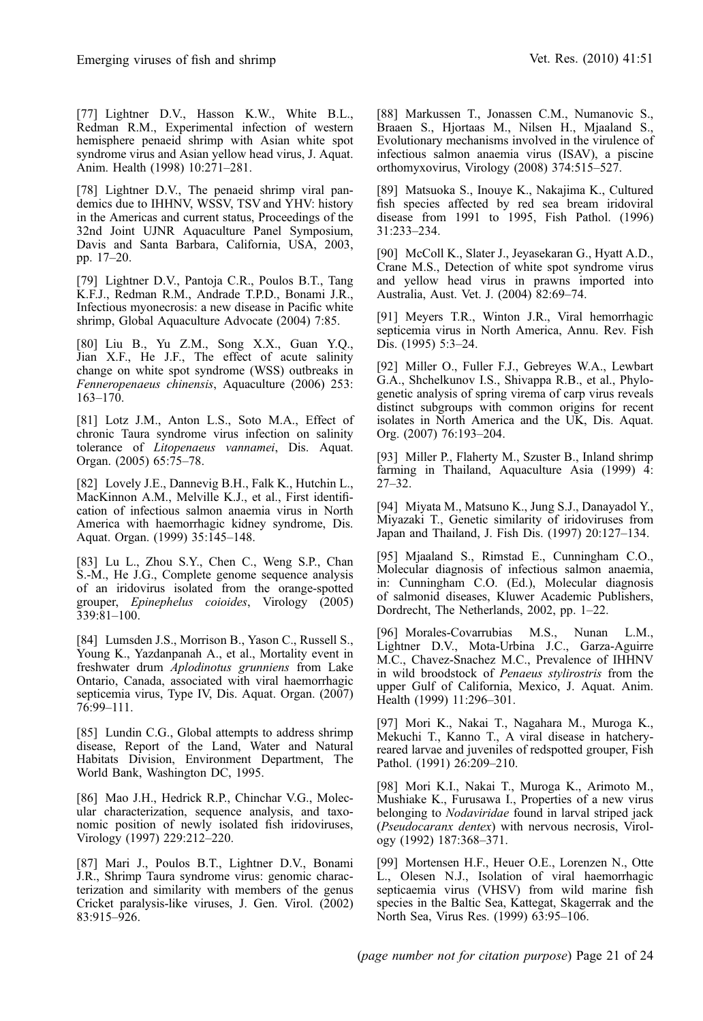<span id="page-20-0"></span>[77] Lightner D.V., Hasson K.W., White B.L., Redman R.M., Experimental infection of western hemisphere penaeid shrimp with Asian white spot syndrome virus and Asian yellow head virus, J. Aquat. Anim. Health (1998) 10:271–281.

[78] Lightner D.V., The penaeid shrimp viral pandemics due to IHHNV, WSSV, TSV and YHV: history in the Americas and current status, Proceedings of the 32nd Joint UJNR Aquaculture Panel Symposium, Davis and Santa Barbara, California, USA, 2003, pp. 17–20.

[79] Lightner D.V., Pantoja C.R., Poulos B.T., Tang K.F.J., Redman R.M., Andrade T.P.D., Bonami J.R., Infectious myonecrosis: a new disease in Pacific white shrimp, Global Aquaculture Advocate (2004) 7:85.

[80] Liu B., Yu Z.M., Song X.X., Guan Y.Q., Jian X.F., He J.F., The effect of acute salinity change on white spot syndrome (WSS) outbreaks in Fenneropenaeus chinensis, Aquaculture (2006) 253: 163–170.

[81] Lotz J.M., Anton L.S., Soto M.A., Effect of chronic Taura syndrome virus infection on salinity tolerance of Litopenaeus vannamei, Dis. Aquat. Organ. (2005) 65:75–78.

[82] Lovely J.E., Dannevig B.H., Falk K., Hutchin L., MacKinnon A.M., Melville K.J., et al., First identification of infectious salmon anaemia virus in North America with haemorrhagic kidney syndrome, Dis. Aquat. Organ. (1999) 35:145–148.

[83] Lu L., Zhou S.Y., Chen C., Weng S.P., Chan S.-M., He J.G., Complete genome sequence analysis of an iridovirus isolated from the orange-spotted grouper, Epinephelus coioides, Virology (2005) 339:81–100.

[84] Lumsden J.S., Morrison B., Yason C., Russell S., Young K., Yazdanpanah A., et al., Mortality event in freshwater drum *Aplodinotus grunniens* from Lake Ontario, Canada, associated with viral haemorrhagic septicemia virus, Type IV, Dis. Aquat. Organ. (2007) 76:99–111.

[85] Lundin C.G., Global attempts to address shrimp disease, Report of the Land, Water and Natural Habitats Division, Environment Department, The World Bank, Washington DC, 1995.

[86] Mao J.H., Hedrick R.P., Chinchar V.G., Molecular characterization, sequence analysis, and taxonomic position of newly isolated fish iridoviruses, Virology (1997) 229:212–220.

[87] Mari J., Poulos B.T., Lightner D.V., Bonami J.R., Shrimp Taura syndrome virus: genomic characterization and similarity with members of the genus Cricket paralysis-like viruses, J. Gen. Virol. (2002) 83:915–926.

[88] Markussen T., Jonassen C.M., Numanovic S., Braaen S., Hjortaas M., Nilsen H., Mjaaland S., Evolutionary mechanisms involved in the virulence of infectious salmon anaemia virus (ISAV), a piscine orthomyxovirus, Virology (2008) 374:515–527.

[89] Matsuoka S., Inouye K., Nakajima K., Cultured fish species affected by red sea bream iridoviral disease from 1991 to 1995, Fish Pathol. (1996) 31:233–234.

[90] McColl K., Slater J., Jeyasekaran G., Hyatt A.D., Crane M.S., Detection of white spot syndrome virus and yellow head virus in prawns imported into Australia, Aust. Vet. J. (2004) 82:69–74.

[91] Meyers T.R., Winton J.R., Viral hemorrhagic septicemia virus in North America, Annu. Rev. Fish Dis. (1995) 5:3–24.

[92] Miller O., Fuller F.J., Gebreyes W.A., Lewbart G.A., Shchelkunov I.S., Shivappa R.B., et al., Phylogenetic analysis of spring virema of carp virus reveals distinct subgroups with common origins for recent isolates in North America and the UK, Dis. Aquat. Org. (2007) 76:193–204.

[93] Miller P., Flaherty M., Szuster B., Inland shrimp farming in Thailand, Aquaculture Asia (1999) 4: 27–32.

[94] Miyata M., Matsuno K., Jung S.J., Danayadol Y., Miyazaki T., Genetic similarity of iridoviruses from Japan and Thailand, J. Fish Dis. (1997) 20:127–134.

[95] Mjaaland S., Rimstad E., Cunningham C.O., Molecular diagnosis of infectious salmon anaemia, in: Cunningham C.O. (Ed.), Molecular diagnosis of salmonid diseases, Kluwer Academic Publishers, Dordrecht, The Netherlands, 2002, pp. 1–22.

[96] Morales-Covarrubias M.S., Nunan L.M., Lightner D.V., Mota-Urbina J.C., Garza-Aguirre M.C., Chavez-Snachez M.C., Prevalence of IHHNV in wild broodstock of Penaeus stylirostris from the upper Gulf of California, Mexico, J. Aquat. Anim. Health (1999) 11:296–301.

[97] Mori K., Nakai T., Nagahara M., Muroga K., Mekuchi T., Kanno T., A viral disease in hatcheryreared larvae and juveniles of redspotted grouper, Fish Pathol. (1991) 26:209–210.

[98] Mori K.I., Nakai T., Muroga K., Arimoto M., Mushiake K., Furusawa I., Properties of a new virus belonging to *Nodaviridae* found in larval striped jack (Pseudocaranx dentex) with nervous necrosis, Virology (1992) 187:368–371.

[99] Mortensen H.F., Heuer O.E., Lorenzen N., Otte L., Olesen N.J., Isolation of viral haemorrhagic septicaemia virus (VHSV) from wild marine fish species in the Baltic Sea, Kattegat, Skagerrak and the North Sea, Virus Res. (1999) 63:95–106.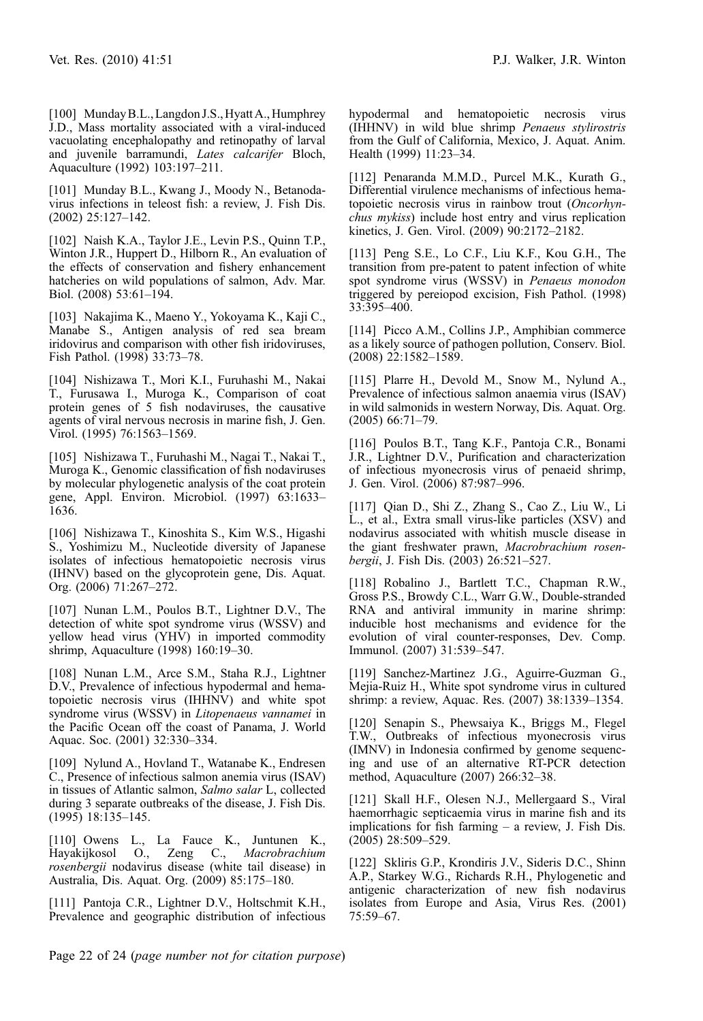<span id="page-21-0"></span>[100] MundayB.L., Langdon J.S., Hyatt A., Humphrey J.D., Mass mortality associated with a viral-induced vacuolating encephalopathy and retinopathy of larval and juvenile barramundi, Lates calcarifer Bloch, Aquaculture (1992) 103:197–211.

[101] Munday B.L., Kwang J., Moody N., Betanodavirus infections in teleost fish: a review, J. Fish Dis. (2002) 25:127–142.

[102] Naish K.A., Taylor J.E., Levin P.S., Quinn T.P., Winton J.R., Huppert D., Hilborn R., An evaluation of the effects of conservation and fishery enhancement hatcheries on wild populations of salmon, Adv. Mar. Biol. (2008) 53:61–194.

[103] Nakajima K., Maeno Y., Yokoyama K., Kaji C., Manabe S., Antigen analysis of red sea bream iridovirus and comparison with other fish iridoviruses, Fish Pathol. (1998) 33:73–78.

[104] Nishizawa T., Mori K.I., Furuhashi M., Nakai T., Furusawa I., Muroga K., Comparison of coat protein genes of 5 fish nodaviruses, the causative agents of viral nervous necrosis in marine fish, J. Gen. Virol. (1995) 76:1563–1569.

[105] Nishizawa T., Furuhashi M., Nagai T., Nakai T., Muroga K., Genomic classification of fish nodaviruses by molecular phylogenetic analysis of the coat protein gene, Appl. Environ. Microbiol. (1997) 63:1633– 1636.

[106] Nishizawa T., Kinoshita S., Kim W.S., Higashi S., Yoshimizu M., Nucleotide diversity of Japanese isolates of infectious hematopoietic necrosis virus (IHNV) based on the glycoprotein gene, Dis. Aquat. Org. (2006) 71:267–272.

[107] Nunan L.M., Poulos B.T., Lightner D.V., The detection of white spot syndrome virus (WSSV) and yellow head virus (YHV) in imported commodity shrimp, Aquaculture (1998) 160:19–30.

[108] Nunan L.M., Arce S.M., Staha R.J., Lightner D.V., Prevalence of infectious hypodermal and hematopoietic necrosis virus (IHHNV) and white spot syndrome virus (WSSV) in Litopenaeus vannamei in the Pacific Ocean off the coast of Panama, J. World Aquac. Soc. (2001) 32:330–334.

[109] Nylund A., Hovland T., Watanabe K., Endresen C., Presence of infectious salmon anemia virus (ISAV) in tissues of Atlantic salmon, Salmo salar L, collected during 3 separate outbreaks of the disease, J. Fish Dis.  $(1995)$  18:135–145.

[110] Owens L., La Fauce K., Juntunen K., Hayakijkosol O., Zeng C., Macrobrachium rosenbergii nodavirus disease (white tail disease) in Australia, Dis. Aquat. Org. (2009) 85:175–180.

[111] Pantoja C.R., Lightner D.V., Holtschmit K.H., Prevalence and geographic distribution of infectious hypodermal and hematopoietic necrosis virus (IHHNV) in wild blue shrimp Penaeus stylirostris from the Gulf of California, Mexico, J. Aquat. Anim. Health (1999) 11:23–34.

[112] Penaranda M.M.D., Purcel M.K., Kurath G., Differential virulence mechanisms of infectious hematopoietic necrosis virus in rainbow trout (Oncorhynchus mykiss) include host entry and virus replication kinetics, J. Gen. Virol. (2009) 90:2172–2182.

[113] Peng S.E., Lo C.F., Liu K.F., Kou G.H., The transition from pre-patent to patent infection of white spot syndrome virus (WSSV) in Penaeus monodon triggered by pereiopod excision, Fish Pathol. (1998) 33:395–400.

[114] Picco A.M., Collins J.P., Amphibian commerce as a likely source of pathogen pollution, Conserv. Biol. (2008) 22:1582–1589.

[115] Plarre H., Devold M., Snow M., Nylund A., Prevalence of infectious salmon anaemia virus (ISAV) in wild salmonids in western Norway, Dis. Aquat. Org. (2005) 66:71–79.

[116] Poulos B.T., Tang K.F., Pantoja C.R., Bonami J.R., Lightner D.V., Purification and characterization of infectious myonecrosis virus of penaeid shrimp, J. Gen. Virol. (2006) 87:987–996.

[117] Qian D., Shi Z., Zhang S., Cao Z., Liu W., Li L., et al., Extra small virus-like particles (XSV) and nodavirus associated with whitish muscle disease in the giant freshwater prawn, Macrobrachium rosenbergii, J. Fish Dis. (2003) 26:521–527.

[118] Robalino J., Bartlett T.C., Chapman R.W., Gross P.S., Browdy C.L., Warr G.W., Double-stranded RNA and antiviral immunity in marine shrimp: inducible host mechanisms and evidence for the evolution of viral counter-responses, Dev. Comp. Immunol. (2007) 31:539–547.

[119] Sanchez-Martinez J.G., Aguirre-Guzman G., Mejia-Ruiz H., White spot syndrome virus in cultured shrimp: a review, Aquac. Res. (2007) 38:1339–1354.

[120] Senapin S., Phewsaiya K., Briggs M., Flegel T.W., Outbreaks of infectious myonecrosis virus (IMNV) in Indonesia confirmed by genome sequencing and use of an alternative RT-PCR detection method, Aquaculture (2007) 266:32–38.

[121] Skall H.F., Olesen N.J., Mellergaard S., Viral haemorrhagic septicaemia virus in marine fish and its implications for fish farming – a review, J. Fish Dis. (2005) 28:509–529.

[122] Skliris G.P., Krondiris J.V., Sideris D.C., Shinn A.P., Starkey W.G., Richards R.H., Phylogenetic and antigenic characterization of new fish nodavirus isolates from Europe and Asia, Virus Res. (2001) 75:59–67.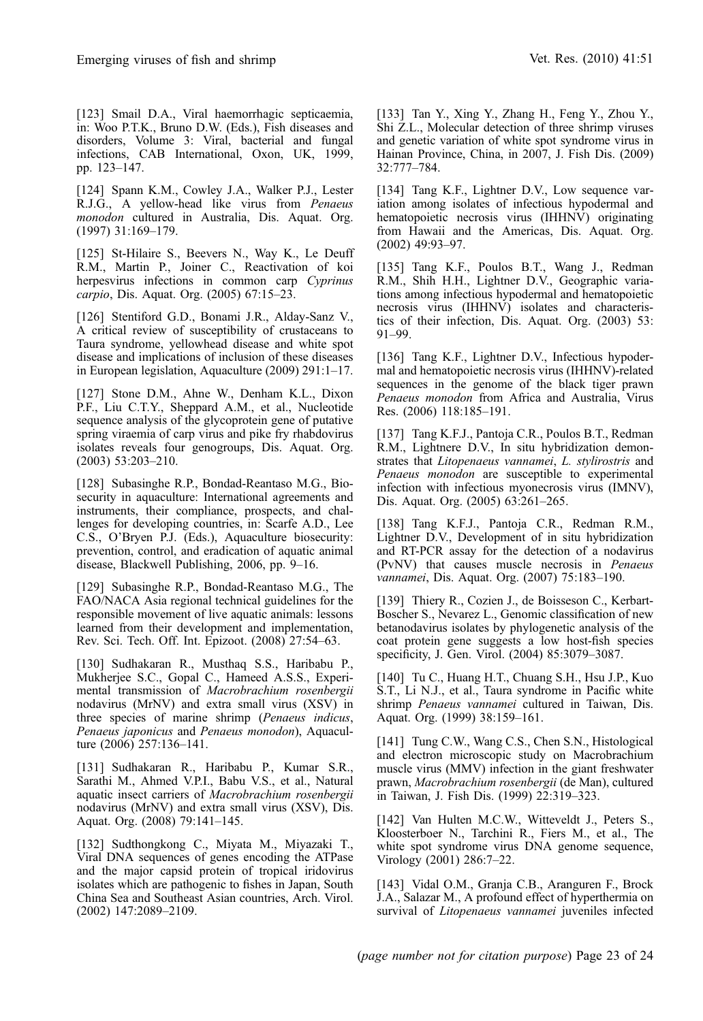<span id="page-22-0"></span>[123] Smail D.A., Viral haemorrhagic septicaemia, in: Woo P.T.K., Bruno D.W. (Eds.), Fish diseases and disorders, Volume 3: Viral, bacterial and fungal infections, CAB International, Oxon, UK, 1999, pp. 123–147.

[124] Spann K.M., Cowley J.A., Walker P.J., Lester R.J.G., A yellow-head like virus from Penaeus monodon cultured in Australia, Dis. Aquat. Org. (1997) 31:169–179.

[125] St-Hilaire S., Beevers N., Way K., Le Deuff R.M., Martin P., Joiner C., Reactivation of koi herpesvirus infections in common carp Cyprinus carpio, Dis. Aquat. Org. (2005) 67:15–23.

[126] Stentiford G.D., Bonami J.R., Alday-Sanz V., A critical review of susceptibility of crustaceans to Taura syndrome, yellowhead disease and white spot disease and implications of inclusion of these diseases in European legislation, Aquaculture (2009) 291:1–17.

[127] Stone D.M., Ahne W., Denham K.L., Dixon P.F., Liu C.T.Y., Sheppard A.M., et al., Nucleotide sequence analysis of the glycoprotein gene of putative spring viraemia of carp virus and pike fry rhabdovirus isolates reveals four genogroups, Dis. Aquat. Org. (2003) 53:203–210.

[128] Subasinghe R.P., Bondad-Reantaso M.G., Biosecurity in aquaculture: International agreements and instruments, their compliance, prospects, and challenges for developing countries, in: Scarfe A.D., Lee C.S., O'Bryen P.J. (Eds.), Aquaculture biosecurity: prevention, control, and eradication of aquatic animal disease, Blackwell Publishing, 2006, pp. 9–16.

[129] Subasinghe R.P., Bondad-Reantaso M.G., The FAO/NACA Asia regional technical guidelines for the responsible movement of live aquatic animals: lessons learned from their development and implementation, Rev. Sci. Tech. Off. Int. Epizoot. (2008) 27:54–63.

[130] Sudhakaran R., Musthaq S.S., Haribabu P., Mukherjee S.C., Gopal C., Hameed A.S.S., Experimental transmission of Macrobrachium rosenbergii nodavirus (MrNV) and extra small virus (XSV) in three species of marine shrimp (Penaeus indicus, Penaeus japonicus and Penaeus monodon), Aquaculture (2006) 257:136–141.

[131] Sudhakaran R., Haribabu P., Kumar S.R., Sarathi M., Ahmed V.P.I., Babu V.S., et al., Natural aquatic insect carriers of Macrobrachium rosenbergii nodavirus (MrNV) and extra small virus (XSV), Dis. Aquat. Org. (2008) 79:141–145.

[132] Sudthongkong C., Miyata M., Miyazaki T., Viral DNA sequences of genes encoding the ATPase and the major capsid protein of tropical iridovirus isolates which are pathogenic to fishes in Japan, South China Sea and Southeast Asian countries, Arch. Virol. (2002) 147:2089–2109.

[133] Tan Y., Xing Y., Zhang H., Feng Y., Zhou Y., Shi Z.L., Molecular detection of three shrimp viruses and genetic variation of white spot syndrome virus in Hainan Province, China, in 2007, J. Fish Dis. (2009) 32:777–784.

[134] Tang K.F., Lightner D.V., Low sequence variation among isolates of infectious hypodermal and hematopoietic necrosis virus (IHHNV) originating from Hawaii and the Americas, Dis. Aquat. Org. (2002) 49:93–97.

[135] Tang K.F., Poulos B.T., Wang J., Redman R.M., Shih H.H., Lightner D.V., Geographic variations among infectious hypodermal and hematopoietic necrosis virus (IHHNV) isolates and characteristics of their infection, Dis. Aquat. Org. (2003) 53: 91–99.

[136] Tang K.F., Lightner D.V., Infectious hypodermal and hematopoietic necrosis virus (IHHNV)-related sequences in the genome of the black tiger prawn Penaeus monodon from Africa and Australia, Virus Res. (2006) 118:185–191.

[137] Tang K.F.J., Pantoja C.R., Poulos B.T., Redman R.M., Lightnere D.V., In situ hybridization demonstrates that Litopenaeus vannamei, L. stylirostris and Penaeus monodon are susceptible to experimental infection with infectious myonecrosis virus (IMNV), Dis. Aquat. Org. (2005) 63:261–265.

[138] Tang K.F.J., Pantoja C.R., Redman R.M., Lightner D.V., Development of in situ hybridization and RT-PCR assay for the detection of a nodavirus (PvNV) that causes muscle necrosis in Penaeus vannamei, Dis. Aquat. Org. (2007) 75:183–190.

[139] Thiery R., Cozien J., de Boisseson C., Kerbart-Boscher S., Nevarez L., Genomic classification of new betanodavirus isolates by phylogenetic analysis of the coat protein gene suggests a low host-fish species specificity, J. Gen. Virol. (2004) 85:3079–3087.

[140] Tu C., Huang H.T., Chuang S.H., Hsu J.P., Kuo S.T., Li N.J., et al., Taura syndrome in Pacific white shrimp Penaeus vannamei cultured in Taiwan, Dis. Aquat. Org. (1999) 38:159–161.

[141] Tung C.W., Wang C.S., Chen S.N., Histological and electron microscopic study on Macrobrachium muscle virus (MMV) infection in the giant freshwater prawn, Macrobrachium rosenbergii (de Man), cultured in Taiwan, J. Fish Dis. (1999) 22:319–323.

[142] Van Hulten M.C.W., Witteveldt J., Peters S., Kloosterboer N., Tarchini R., Fiers M., et al., The white spot syndrome virus DNA genome sequence, Virology (2001) 286:7–22.

[143] Vidal O.M., Granja C.B., Aranguren F., Brock J.A., Salazar M., A profound effect of hyperthermia on survival of *Litopenaeus vannamei* juveniles infected